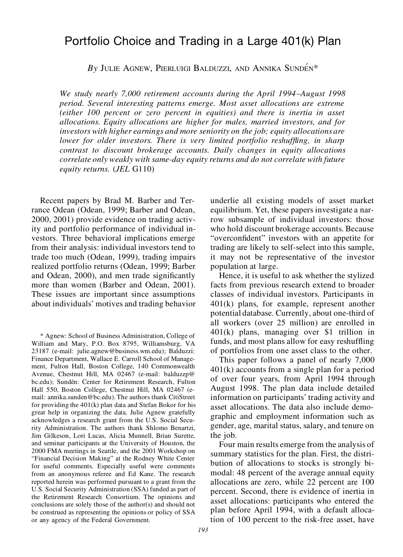# Portfolio Choice and Trading in a Large 401(k) Plan

By JULIE AGNEW, PIERLUIGI BALDUZZI, AND ANNIKA SUNDEN\*

*We study nearly 7,000 retirement accounts during the April 1994–August 1998 period. Several interesting patterns emerge. Most asset allocations are extreme (either 100 percent or zero percent in equities) and there is inertia in asset allocations. Equity allocations are higher for males, married investors, and for investors with higher earnings and more seniority on the job; equity allocations are lower for older investors. There is very limited portfolio reshufing, in sharp contrast to discount brokerage accounts. Daily changes in equity allocations correlate only weakly with same-day equity returns and do not correlate with future equity returns.* (*JEL* G110)

Recent papers by Brad M. Barber and Terrance Odean (Odean, 1999; Barber and Odean, 2000, 2001) provide evidence on trading activity and portfolio performance of individual investors. Three behavioral implications emerge from their analysis: individual investors tend to trade too much (Odean, 1999), trading impairs realized portfolio returns (Odean, 1999; Barber and Odean, 2000), and men trade significantly more than women (Barber and Odean, 2001). These issues are important since assumptions about individuals' motives and trading behavior

\* Agnew: School of Business Administration, College of William and Mary, P.O. Box 8795, Williamsburg, VA 23187 (e-mail: julie.agnew@business.wm.edu); Balduzzi: Finance Department, Wallace E. Carroll School of Management, Fulton Hall, Boston College, 140 Commonwealth Avenue, Chestnut Hill, MA 02467 (e-mail: balduzzp@ bc.edu); Sundén: Center for Retirement Research, Fulton Hall 550, Boston College, Chestnut Hill, MA 02467 (email: annika.sunden@bc.edu). The authors thank CitiStreet for providing the 401(k) plan data and Stefan Bokor for his great help in organizing the data. Julie Agnew gratefully acknowledges a research grant from the U.S. Social Security Administration. The authors thank Shlomo Benartzi, Jim Gilkeson, Lori Lucas, Alicia Munnell, Brian Surette, and seminar participants at the University of Houston, the 2000 FMA meetings in Seattle, and the 2001 Workshop on "Financial Decision Making" at the Rodney White Center for useful comments. Especially useful were comments from an anonymous referee and Ed Kane. The research reported herein was performed pursuant to a grant from the U.S. Social Security Administration (SSA) funded as part of the Retirement Research Consortium. The opinions and conclusions are solely those of the author(s) and should not be construed as representing the opinions or policy of SSA or any agency of the Federal Government.

underlie all existing models of asset market equilibrium. Yet, these papers investigate a narrow subsample of individual investors: those who hold discount brokerage accounts. Because "overconfident" investors with an appetite for trading are likely to self-select into this sample, it may not be representative of the investor population at large.

Hence, it is useful to ask whether the stylized facts from previous research extend to broader classes of individual investors. Participants in 401(k) plans, for example, represent another potential database. Currently, about one-third of all workers (over 25 million) are enrolled in 401(k) plans, managing over \$1 trillion in funds, and most plans allow for easy reshuffling of portfolios from one asset class to the other.

This paper follows a panel of nearly 7,000 401(k) accounts from a single plan for a period of over four years, from April 1994 through August 1998. The plan data include detailed information on participants' trading activity and asset allocations. The data also include demographic and employment information such as gender, age, marital status, salary, and tenure on the job.

Four main results emerge from the analysis of summary statistics for the plan. First, the distribution of allocations to stocks is strongly bimodal: 48 percent of the average annual equity allocations are zero, while 22 percent are 100 percent. Second, there is evidence of inertia in asset allocations: participants who entered the plan before April 1994, with a default allocation of 100 percent to the risk-free asset, have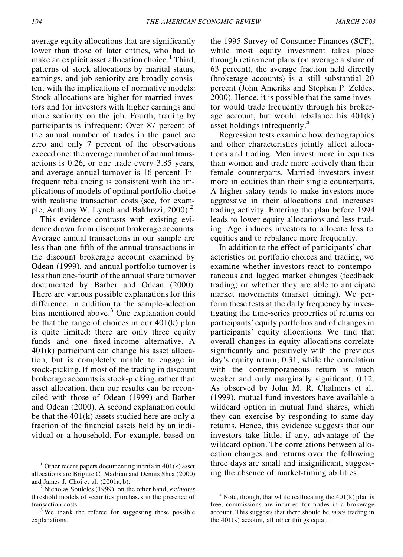average equity allocations that are significantly lower than those of later entries, who had to make an explicit asset allocation choice.<sup>1</sup> Third, patterns of stock allocations by marital status, earnings, and job seniority are broadly consistent with the implications of normative models: Stock allocations are higher for married investors and for investors with higher earnings and more seniority on the job. Fourth, trading by participants is infrequent: Over 87 percent of the annual number of trades in the panel are zero and only 7 percent of the observations exceed one; the average number of annual transactions is 0.26, or one trade every 3.85 years, and average annual turnover is 16 percent. Infrequent rebalancing is consistent with the implications of models of optimal portfolio choice with realistic transaction costs (see, for example, Anthony W. Lynch and Balduzzi, 2000).<sup>2</sup>

This evidence contrasts with existing evidence drawn from discount brokerage accounts: Average annual transactions in our sample are less than one-fifth of the annual transactions in the discount brokerage account examined by Odean (1999), and annual portfolio turnover is less than one-fourth of the annual share turnover documented by Barber and Odean (2000). There are various possible explanations for this difference, in addition to the sample-selection bias mentioned above. $3$  One explanation could be that the range of choices in our 401(k) plan is quite limited: there are only three equity funds and one fixed-income alternative. A 401(k) participant can change his asset allocation, but is completely unable to engage in stock-picking.If most of the trading in discount brokerage accounts is stock-picking, rather than asset allocation, then our results can be reconciled with those of Odean (1999) and Barber and Odean (2000). A second explanation could be that the 401(k) assets studied here are only a fraction of the financial assets held by an individual or a household. For example, based on

the 1995 Survey of Consumer Finances (SCF), while most equity investment takes place through retirement plans (on average a share of 63 percent), the average fraction held directly (brokerage accounts) is a still substantial 20 percent (John Ameriks and Stephen P. Zeldes, 2000). Hence, it is possible that the same investor would trade frequently through his brokerage account, but would rebalance his  $401(k)$ asset holdings infrequently.<sup>4</sup>

Regression tests examine how demographics and other characteristics jointly affect allocations and trading. Men invest more in equities than women and trade more actively than their female counterparts. Married investors invest more in equities than their single counterparts. A higher salary tends to make investors more aggressive in their allocations and increases trading activity. Entering the plan before 1994 leads to lower equity allocations and less trading. Age induces investors to allocate less to equities and to rebalance more frequently.

In addition to the effect of participants' characteristics on portfolio choices and trading, we examine whether investors react to contemporaneous and lagged market changes (feedback trading) or whether they are able to anticipate market movements (market timing). We perform these tests at the daily frequency by investigating the time-series properties of returns on participants' equity portfolios and of changes in participants' equity allocations. We find that overall changes in equity allocations correlate significantly and positively with the previous day's equity return, 0.31, while the correlation with the contemporaneous return is much weaker and only marginally significant, 0.12. As observed by John M. R. Chalmers et al. (1999), mutual fund investors have available a wildcard option in mutual fund shares, which they can exercise by responding to same-day returns. Hence, this evidence suggests that our investors take little, if any, advantage of the wildcard option. The correlations between allocation changes and returns over the following three days are small and insignificant, suggesting the absence of market-timing abilities.

 $1$  Other recent papers documenting inertia in  $401(k)$  asset allocations are Brigitte C. Madrian and Dennis Shea (2000) and James J. Choi et al. (2001a, b). <sup>2</sup> Nicholas Souleles (1999), on the other hand, *estimates*

threshold models of securities purchases in the presence of transaction costs.  $3$  We thank the referee for suggesting these possible

explanations.

 $4$  Note, though, that while reallocating the  $401(k)$  plan is free, commissions are incurred for trades in a brokerage account. This suggests that there should be *more* trading in the 401(k) account, all other things equal.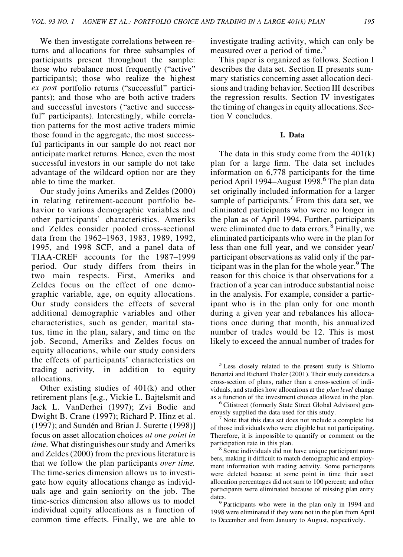We then investigate correlations between returns and allocations for three subsamples of participants present throughout the sample: those who rebalance most frequently ("active" participants); those who realize the highest *ex post* portfolio returns ("successful" participants); and those who are both active traders and successful investors ("active and successful" participants). Interestingly, while correlation patterns for the most active traders mimic those found in the aggregate, the most successful participants in our sample do not react nor anticipate market returns. Hence, even the most successful investors in our sample do not take advantage of the wildcard option nor are they able to time the market.

Our study joins Ameriks and Zeldes (2000) in relating retirement-account portfolio behavior to various demographic variables and other participants' characteristics. Ameriks and Zeldes consider pooled cross-sectional data from the 1962–1963, 1983, 1989, 1992, 1995, and 1998 SCF, and a panel data of TIAA-CREF accounts for the 1987–1999 period. Our study differs from theirs in two main respects. First, Ameriks and Zeldes focus on the effect of one demographic variable, age, on equity allocations. Our study considers the effects of several additional demographic variables and other characteristics, such as gender, marital status, time in the plan, salary, and time on the job. Second, Ameriks and Zeldes focus on equity allocations, while our study considers the effects of participants' characteristics on trading activity, in addition to equity allocations.

Other existing studies of 401(k) and other retirement plans [e.g., Vickie L. Bajtelsmit and Jack L. VanDerhei (1997); Zvi Bodie and Dwight B. Crane (1997); Richard P. Hinz et al.  $(1997)$ ; and Sundén and Brian J. Surette  $(1998)$ ] focus on asset allocation choices *at one point in time.* What distinguishes our study and Ameriks and Zeldes (2000) from the previous literature is that we follow the plan participants *over time.* The time-series dimension allows us to investigate how equity allocations change as individuals age and gain seniority on the job. The time-series dimension also allows us to model individual equity allocations as a function of common time effects. Finally, we are able to investigate trading activity, which can only be measured over a period of time.<sup>5</sup>

This paper is organized as follows. Section I describes the data set. Section II presents summary statistics concerning asset allocation decisions and trading behavior. Section III describes the regression results. Section IV investigates the timing of changes in equity allocations. Section V concludes.

## **I. Data**

The data in this study come from the 401(k) plan for a large firm. The data set includes information on 6,778 participants for the time period April 1994–August 1998.<sup>6</sup> The plan data set originally included information for a larger sample of participants.<sup>7</sup> From this data set, we eliminated participants who were no longer in the plan as of April 1994. Further, participants were eliminated due to data errors.<sup>8</sup> Finally, we eliminated participants who were in the plan for less than one full year, and we consider year/ participant observations as valid only if the participant was in the plan for the whole year.<sup>9</sup> The reason for this choice is that observations for a fraction of a year can introduce substantial noise in the analysis. For example, consider a participant who is in the plan only for one month during a given year and rebalances his allocations once during that month, his annualized number of trades would be 12. This is most likely to exceed the annual number of trades for

as a function of the investment choices allowed in the plan.<br><sup>6</sup> Citistreet (formerly State Street Global Advisors) gen-<br>erously supplied the data used for this study.

Note that this data set does not include a complete list of those individuals who were eligible but not participating. Therefore, it is impossible to quantify or comment on the participation rate in this plan.<br><sup>8</sup> Some individuals did not have unique participant num-

bers, making it difficult to match demographic and employment information with trading activity. Some participants were deleted because at some point in time their asset allocation percentages did not sum to 100 percent; and other participants were eliminated because of missing plan entry

dates.<br><sup>9</sup> Participants who were in the plan only in 1994 and 1998 were eliminated if they were not in the plan from April to December and from January to August, respectively.

<sup>5</sup> Less closely related to the present study is Shlomo Benartzi and Richard Thaler (2001). Their study considers a cross-section of plans, rather than a cross-section of individuals, and studies how allocations at the *plan level* change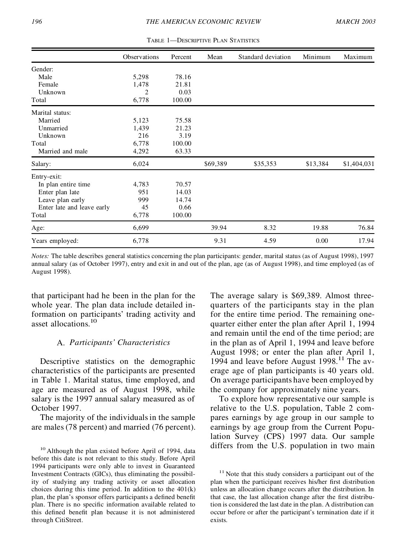|                            | Observations | Percent | Mean     | Standard deviation | Minimum  | Maximum     |
|----------------------------|--------------|---------|----------|--------------------|----------|-------------|
| Gender:                    |              |         |          |                    |          |             |
| Male                       | 5,298        | 78.16   |          |                    |          |             |
| Female                     | 1,478        | 21.81   |          |                    |          |             |
| Unknown                    | 2            | 0.03    |          |                    |          |             |
| Total                      | 6,778        | 100.00  |          |                    |          |             |
| Marital status:            |              |         |          |                    |          |             |
| Married                    | 5,123        | 75.58   |          |                    |          |             |
| Unmarried                  | 1,439        | 21.23   |          |                    |          |             |
| Unknown                    | 216          | 3.19    |          |                    |          |             |
| Total                      | 6,778        | 100.00  |          |                    |          |             |
| Married and male           | 4,292        | 63.33   |          |                    |          |             |
| Salary:                    | 6,024        |         | \$69,389 | \$35,353           | \$13,384 | \$1,404,031 |
| Entry-exit:                |              |         |          |                    |          |             |
| In plan entire time        | 4,783        | 70.57   |          |                    |          |             |
| Enter plan late            | 951          | 14.03   |          |                    |          |             |
| Leave plan early           | 999          | 14.74   |          |                    |          |             |
| Enter late and leave early | 45           | 0.66    |          |                    |          |             |
| Total                      | 6,778        | 100.00  |          |                    |          |             |
| Age:                       | 6,699        |         | 39.94    | 8.32               | 19.88    | 76.84       |
| Years employed:            | 6,778        |         | 9.31     | 4.59               | 0.00     | 17.94       |

TABLE 1—DESCRIPTIVE PLAN STATISTICS

*Notes:* The table describes general statistics concerning the plan participants: gender, marital status (as of August 1998), 1997 annual salary (as of October 1997), entry and exit in and out of the plan, age (as of August 1998), and time employed (as of August 1998).

that participant had he been in the plan for the whole year. The plan data include detailed information on participants' trading activity and asset allocations.<sup>10</sup>

#### A. *Participants' Characteristics*

Descriptive statistics on the demographic characteristics of the participants are presented in Table 1. Marital status, time employed, and age are measured as of August 1998, while salary is the 1997 annual salary measured as of October 1997.

The majority of the individuals in the sample are males (78 percent) and married (76 percent). The average salary is \$69,389. Almost threequarters of the participants stay in the plan for the entire time period. The remaining onequarter either enter the plan after April 1, 1994 and remain until the end of the time period; are in the plan as of April 1, 1994 and leave before August 1998; or enter the plan after April 1, 1994 and leave before August 1998.<sup>11</sup> The average age of plan participants is 40 years old. On average participants have been employed by the company for approximately nine years.

To explore how representative our sample is relative to the U.S. population, Table 2 compares earnings by age group in our sample to earnings by age group from the Current Population Survey (CPS) 1997 data. Our sample differs from the U.S. population in two main

<sup>&</sup>lt;sup>10</sup> Although the plan existed before April of 1994, data before this date is not relevant to this study. Before April 1994 participants were only able to invest in Guaranteed Investment Contracts (GICs), thus eliminating the possibility of studying any trading activity or asset allocation choices during this time period. In addition to the 401(k) plan, the plan's sponsor offers participants a defined benefit plan. There is no specific information available related to this defined benefit plan because it is not administered through CitiStreet.

 $11$  Note that this study considers a participant out of the plan when the participant receives his/her first distribution unless an allocation change occurs after the distribution. In that case, the last allocation change after the first distribution is considered the last date in the plan. A distribution can occur before or after the participant's termination date if it exists.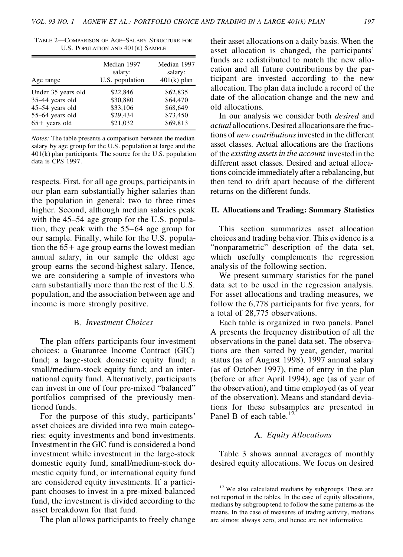| Age range          | Median 1997<br>salary:<br>U.S. population | Median 1997<br>salary:<br>$401(k)$ plan |
|--------------------|-------------------------------------------|-----------------------------------------|
| Under 35 years old | \$22,846                                  | \$62,835                                |
| 35-44 years old    | \$30,880                                  | \$64,470                                |
| 45-54 years old    | \$33,106                                  | \$68,649                                |
| 55-64 years old    | \$29,434                                  | \$73,450                                |
| $65+$ years old    | \$21,032                                  | \$69,813                                |

TABLE 2—COMPARISON OF AGE–SALARY STRUCTURE FOR U.S. POPULATION AND 401(K) SAMPLE

*Notes:* The table presents a comparison between the median salary by age group for the U.S. population at large and the 401(k) plan participants. The source for the U.S. population data is CPS 1997.

respects. First, for all age groups, participantsin our plan earn substantially higher salaries than the population in general: two to three times higher. Second, although median salaries peak with the 45–54 age group for the U.S. population, they peak with the 55–64 age group for our sample. Finally, while for the U.S. population the  $65<sup>+</sup>$  age group earns the lowest median annual salary, in our sample the oldest age group earns the second-highest salary. Hence, we are considering a sample of investors who earn substantially more than the rest of the U.S. population, and the association between age and income is more strongly positive.

#### B. *Investment Choices*

The plan offers participants four investment choices: a Guarantee Income Contract (GIC) fund; a large-stock domestic equity fund; a small/medium-stock equity fund; and an international equity fund. Alternatively, participants can invest in one of four pre-mixed "balanced" portfolios comprised of the previously mentioned funds.

For the purpose of this study, participants' asset choices are divided into two main categories: equity investments and bond investments. Investment in the GIC fund is considered a bond investment while investment in the large-stock domestic equity fund, small/medium-stock domestic equity fund, or international equity fund are considered equity investments. If a participant chooses to invest in a pre-mixed balanced fund, the investment is divided according to the asset breakdown for that fund.

The plan allows participants to freely change

their asset allocations on a daily basis. When the asset allocation is changed, the participants' funds are redistributed to match the new allocation and all future contributions by the participant are invested according to the new allocation. The plan data include a record of the date of the allocation change and the new and old allocations.

In our analysis we consider both *desired* and *actual* allocations.Desired allocationsare the fractions of *new contributions*invested in the different asset classes. Actual allocations are the fractions of the *existing assetsin the account* invested in the different asset classes. Desired and actual allocations coincide immediately after a rebalancing,but then tend to drift apart because of the different returns on the different funds.

## **II. Allocations and Trading: Summary Statistics**

This section summarizes asset allocation choices and trading behavior. This evidence is a "nonparametric" description of the data set, which usefully complements the regression analysis of the following section.

We present summary statistics for the panel data set to be used in the regression analysis. For asset allocations and trading measures, we follow the  $6,778$  participants for five years, for a total of 28,775 observations.

Each table is organized in two panels. Panel A presents the frequency distribution of all the observations in the panel data set. The observations are then sorted by year, gender, marital status (as of August 1998), 1997 annual salary (as of October 1997), time of entry in the plan (before or after April 1994), age (as of year of the observation), and time employed (as of year of the observation). Means and standard deviations for these subsamples are presented in Panel B of each table.<sup>12</sup>

#### A. *Equity Allocations*

Table 3 shows annual averages of monthly desired equity allocations. We focus on desired

<sup>&</sup>lt;sup>12</sup> We also calculated medians by subgroups. These are not reported in the tables. In the case of equity allocations, medians by subgroup tend to follow the same patterns as the means. In the case of measures of trading activity, medians are almost always zero, and hence are not informative.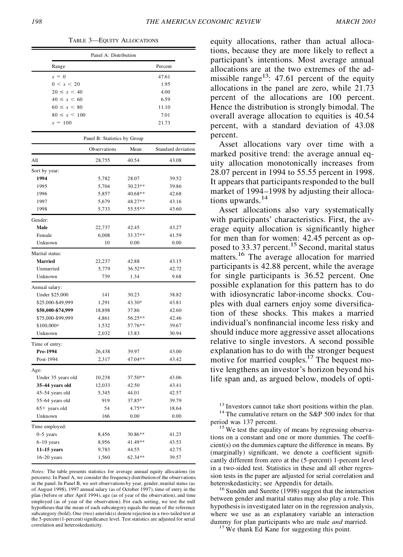TABLE 3—EQUITY ALLOCATIONS

|                      | Panel A: Distribution        |         |                    |
|----------------------|------------------------------|---------|--------------------|
| Range                |                              |         | Percent            |
| $x = 0$              |                              |         | 47.61              |
| $0 \leq x \leq 20$   |                              |         | 1.95               |
| $20 \le x < 40$      |                              |         | 4.00               |
| $40 \le x \le 60$    |                              |         | 6.59               |
| $60 \le x \le 80$    |                              |         | 11.10              |
| $80 \leq x \leq 100$ |                              |         | 7.01               |
| $x = 100$            |                              |         | 21.73              |
|                      | Panel B: Statistics by Group |         |                    |
|                      | Observations                 | Mean    | Standard deviation |
| All                  | 28,755                       | 40.54   | 43.08              |
| Sort by year:        |                              |         |                    |
| 1994                 | 5,782                        | 28.07   | 39.52              |
| 1995                 | 5,704                        | 30.23** | 39.86              |
| 1996                 | 5,857                        | 40.68** | 42.68              |
| 1997                 | 5,679                        | 48.27** | 43.16              |
| 1998                 | 5,733                        | 55.55** | 43.60              |
| Gender:              |                              |         |                    |
| Male                 | 22,737                       | 42.45   | 43.27              |
| Female               | 6,008                        | 33.37** | 41.59              |
| Unknown              | 10                           | 0.00    | 0.00               |
| Marital status:      |                              |         |                    |
| <b>Married</b>       | 22,237                       | 42.88   | 43.15              |
| Unmarried            | 5,779                        | 36.52** | 42.72              |
| Unknown              | 739                          | 1.34    | 9.68               |
| Annual salary:       |                              |         |                    |
| Under \$25,000       | 141                          | 30.23   | 38.82              |
| \$25,000-\$49,999    | 1,291                        | 43.30*  | 43.81              |
| \$50,000-\$74,999    | 18,898                       | 37.86   | 42.60              |
| \$75,000-\$99,999    | 4,861                        | 56.25** | 42.46              |
| \$100,000+           | 1,532                        | 57.76** | 39.67              |
| Unknown              | 2,032                        | 13.83   | 30.94              |
| Time of entry:       |                              |         |                    |
| Pre-1994             | 26,438                       | 39.97   | 43.00              |
| Post-1994            | 2,317                        | 47.04** | 43.42              |
| Age:                 |                              |         |                    |
| Under 35 years old   | 10,238                       | 37.50** | 43.06              |
| 35-44 years old      | 12,033                       | 42.50   | 43.41              |
| 45-54 years old      | 5,345                        | 44.01   | 42.57              |
| 55-64 years old      | 919                          | 37.85*  | 39.79              |
| $65+$ years old      | 54                           | 4.75**  | 18.64              |
| Unknown              | 166                          | 0.00    | 0.00               |
| Time employed:       |                              |         |                    |
| $0-5$ years          | 8,456                        | 30.86** | 41.23              |
| $6-10$ years         | 8,956                        | 41.49** | 43.53              |
| $11-15$ years        | 9,783                        | 44.55   | 42.75              |
| $16-20$ years        | 1,560                        | 62.34** | 39.57              |

*Notes:* The table presents statistics for average annual equity allocations (in percents).In Panel A, we consider the frequencydistribution of the observations in the panel. In Panel B, we sort observations by year, gender, marital status (as of August 1998), 1997 annual salary (as of October 1997), time of entry in the plan (before or after April 1994), age (as of year of the observation), and time employed (as of year of the observation). For each sorting, we test the null hypotheses that the mean of each subcategory equals the mean of the reference subcategory (bold). One (two) asterisk(s) denote rejection in a two-tailed test at the 5-percent (1-percent) significance level. Test statistics are adjusted for serial correlation and heteroskedasticity.

equity allocations, rather than actual allocations, because they are more likely to reflect a participant's intentions. Most average annual allocations are at the two extremes of the admissible range<sup>13</sup>: 47.61 percent of the equity allocations in the panel are zero, while 21.73 percent of the allocations are 100 percent. Hence the distribution is strongly bimodal. The overall average allocation to equities is 40.54 percent, with a standard deviation of 43.08 percent.

Asset allocations vary over time with a marked positive trend: the average annual equity allocation monotonically increases from 28.07 percent in 1994 to 55.55 percent in 1998. It appears that participants responded to the bull market of 1994–1998 by adjusting their allocations upwards.<sup>14</sup>

Asset allocations also vary systematically with participants' characteristics. First, the average equity allocation is significantly higher for men than for women: 42.45 percent as opposed to 33.37 percent.<sup>15</sup> Second, marital status matters.<sup>16</sup> The average allocation for married participants is 42.88 percent, while the average for single participants is 36.52 percent. One possible explanation for this pattern has to do with idiosyncratic labor-income shocks. Couples with dual earners enjoy some diversification of these shocks. This makes a married individual's nonfinancial income less risky and should induce more aggressive asset allocations relative to single investors. A second possible explanation has to do with the stronger bequest motive for married couples.<sup>17</sup> The bequest motive lengthens an investor's horizon beyond his life span and, as argued below, models of opti-

<sup>13</sup> Investors cannot take short positions within the plan. <sup>14</sup> The cumulative return on the S&P 500 index for that period was 137 percent.<br><sup>15</sup> We test the equality of means by regressing observa-

tions on a constant and one or more dummies. The coefficient(s) on the dummies capture the difference in means. By (marginally) significant, we denote a coefficient significantly different from zero at the (5-percent) 1-percent level in a two-sided test. Statistics in these and all other regression tests in the paper are adjusted for serial correlation and heteroskedasticity; see Appendix for details.<br><sup>16</sup> Sundén and Surette (1998) suggest that the interaction

between gender and marital status may also play a role. This hypothesisis investigated later on in the regression analysis, where we use as an explanatory variable an interaction dummy for plan participants who are male *and* married.<br><sup>17</sup> We thank Ed Kane for suggesting this point.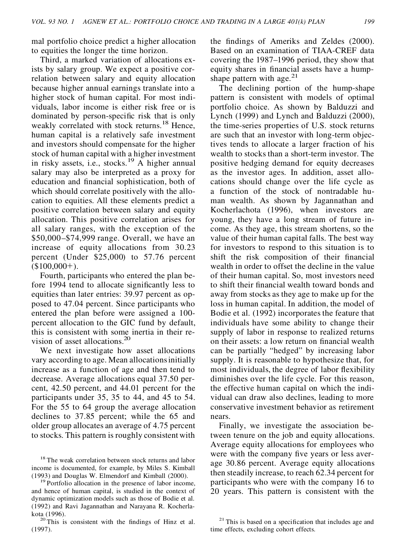mal portfolio choice predict a higher allocation to equities the longer the time horizon.

Third, a marked variation of allocations exists by salary group. We expect a positive correlation between salary and equity allocation because higher annual earnings translate into a higher stock of human capital. For most individuals, labor income is either risk free or is dominated by person-specific risk that is only weakly correlated with stock returns.<sup>18</sup> Hence, human capital is a relatively safe investment and investors should compensate for the higher stock of human capital with a higher investment in risky assets, i.e., stocks.<sup>19</sup> A higher annual salary may also be interpreted as a proxy for education and financial sophistication, both of which should correlate positively with the allocation to equities. All these elements predict a positive correlation between salary and equity allocation. This positive correlation arises for all salary ranges, with the exception of the \$50,000–\$74,999 range. Overall, we have an increase of equity allocations from 30.23 percent (Under \$25,000) to 57.76 percent  $($100,000+)$ .

Fourth, participants who entered the plan before 1994 tend to allocate significantly less to equities than later entries: 39.97 percent as opposed to 47.04 percent. Since participants who entered the plan before were assigned a 100 percent allocation to the GIC fund by default, this is consistent with some inertia in their revision of asset allocations.<sup>20</sup>

We next investigate how asset allocations vary according to age. Mean allocationsinitially increase as a function of age and then tend to decrease. Average allocations equal 37.50 percent, 42.50 percent, and 44.01 percent for the participants under 35, 35 to 44, and 45 to 54. For the 55 to 64 group the average allocation declines to 37.85 percent; while the 65 and older group allocates an average of 4.75 percent to stocks. This pattern is roughly consistent with

the findings of Ameriks and Zeldes (2000). Based on an examination of TIAA-CREF data covering the 1987–1996 period, they show that equity shares in financial assets have a humpshape pattern with age.<sup>21</sup>

The declining portion of the hump-shape pattern is consistent with models of optimal portfolio choice. As shown by Balduzzi and Lynch (1999) and Lynch and Balduzzi (2000), the time-series properties of U.S. stock returns are such that an investor with long-term objectives tends to allocate a larger fraction of his wealth to stocks than a short-term investor. The positive hedging demand for equity decreases as the investor ages. In addition, asset allocations should change over the life cycle as a function of the stock of nontradable human wealth. As shown by Jagannathan and Kocherlachota (1996), when investors are young, they have a long stream of future income. As they age, this stream shortens, so the value of their human capital falls. The best way for investors to respond to this situation is to shift the risk composition of their financial wealth in order to offset the decline in the value of their human capital. So, most investors need to shift their financial wealth toward bonds and away from stocks as they age to make up for the loss in human capital. In addition, the model of Bodie et al. (1992) incorporates the feature that individuals have some ability to change their supply of labor in response to realized returns on their assets: a low return on financial wealth can be partially "hedged" by increasing labor supply. It is reasonable to hypothesize that, for most individuals, the degree of labor flexibility diminishes over the life cycle. For this reason, the effective human capital on which the individual can draw also declines, leading to more conservative investment behavior as retirement nears.

Finally, we investigate the association between tenure on the job and equity allocations. Average equity allocations for employees who were with the company five years or less average 30.86 percent. Average equity allocations then steadily increase, to reach 62.34 percent for participants who were with the company 16 to 20 years. This pattern is consistent with the

<sup>&</sup>lt;sup>18</sup> The weak correlation between stock returns and labor income is documented, for example, by Miles S. Kimball (1993) and Douglas W. Elmendorf and Kimball (2000).

<sup>&</sup>lt;sup>19</sup> Portfolio allocation in the presence of labor income, and hence of human capital, is studied in the context of dynamic optimization models such as those of Bodie et al. (1992) and Ravi Jagannathan and Narayana R. Kocherlakota (1996).  $^{20}$  This is consistent with the findings of Hinz et al.

<sup>(1997).</sup>

 $21$  This is based on a specification that includes age and time effects, excluding cohort effects.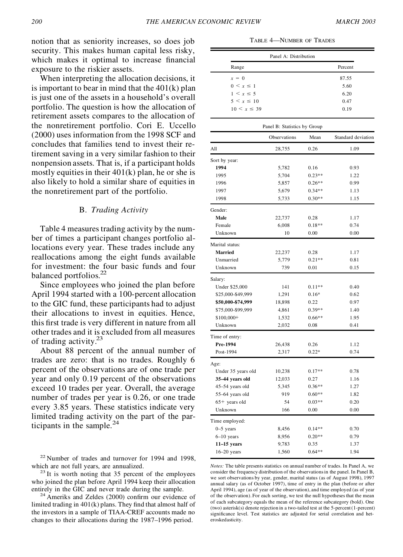notion that as seniority increases, so does job security. This makes human capital less risky, which makes it optimal to increase financial exposure to the riskier assets.

When interpreting the allocation decisions, it is important to bear in mind that the  $401(k)$  plan is just one of the assets in a household's overall portfolio. The question is how the allocation of retirement assets compares to the allocation of the nonretirement portfolio. Cori E. Uccello (2000) uses information from the 1998 SCF and concludes that families tend to invest their retirement saving in a very similar fashion to their nonpension assets. That is, if a participant holds mostly equities in their  $401(k)$  plan, he or she is also likely to hold a similar share of equities in the nonretirement part of the portfolio.

# B. *Trading Activity*

Table 4 measures trading activity by the number of times a participant changes portfolio allocations every year. These trades include any reallocations among the eight funds available for investment: the four basic funds and four balanced portfolios.<sup>22</sup>

Since employees who joined the plan before April 1994 started with a 100-percent allocation to the GIC fund, these participants had to adjust their allocations to invest in equities. Hence, this first trade is very different in nature from all other trades and it is excluded from all measures of trading activity.<sup>23</sup>

About 88 percent of the annual number of trades are zero: that is no trades. Roughly 6 percent of the observations are of one trade per year and only 0.19 percent of the observations exceed 10 trades per year. Overall, the average number of trades per year is 0.26, or one trade every 3.85 years. These statistics indicate very limited trading activity on the part of the participants in the sample.<sup>24</sup>

 $22$  Number of trades and turnover for 1994 and 1998, which are not full years, are annualized.  $^{23}$  It is worth noting that 35 percent of the employees

who joined the plan before April 1994 keep their allocation entirely in the GIC and never trade during the sample.<br><sup>24</sup> Ameriks and Zeldes (2000) confirm our evidence of

limited trading in  $401(k)$  plans. They find that almost half of the investors in a sample of TIAA-CREF accounts made no changes to their allocations during the 1987–1996 period.

TABLE 4—NUMBER OF TRADES

| Panel A: Distribution |         |
|-----------------------|---------|
| Range                 | Percent |
| $x = 0$               | 87.55   |
| $0 < x \leq 1$        | 5.60    |
| $1 < x \leq 5$        | 6.20    |
| $5 < x \leq 10$       | 0.47    |
| $10 < x \leq 39$      | 0.19    |
|                       |         |

| Panel B: Statistics by Group |                      |          |                    |  |
|------------------------------|----------------------|----------|--------------------|--|
|                              | Observations<br>Mean |          | Standard deviation |  |
| All                          | 28,755               | 0.26     | 1.09               |  |
| Sort by year:                |                      |          |                    |  |
| 1994                         | 5,782                | 0.16     | 0.93               |  |
| 1995                         | 5,704                | $0.23**$ | 1.22               |  |
| 1996                         | 5,857                | $0.26**$ | 0.99               |  |
| 1997                         | 5,679                | $0.34**$ | 1.13               |  |
| 1998                         | 5,733                | $0.30**$ | 1.15               |  |
| Gender:                      |                      |          |                    |  |
| Male                         | 22,737               | 0.28     | 1.17               |  |
| Female                       | 6,008                | $0.18**$ | 0.74               |  |
| Unknown                      | 10                   | 0.00     | 0.00               |  |
| Marital status:              |                      |          |                    |  |
| <b>Married</b>               | 22,237               | 0.28     | 1.17               |  |
| Unmarried                    | 5,779                | $0.21**$ | 0.81               |  |
| Unknown                      | 739                  | 0.01     | 0.15               |  |
| Salary:                      |                      |          |                    |  |
| Under \$25,000               | 141                  | $0.11**$ | 0.40               |  |
| \$25,000-\$49,999            | 1,291                | $0.16*$  | 0.62               |  |
| \$50,000-\$74,999            | 18,898               | 0.22     | 0.97               |  |
| \$75,000-\$99,999            | 4,861                | $0.39**$ | 1.40               |  |
| \$100,000+                   | 1,532                | $0.66**$ | 1.95               |  |
| Unknown                      | 2,032                | 0.08     | 0.41               |  |
| Time of entry:               |                      |          |                    |  |
| Pre-1994                     | 26,438               | 0.26     | 1.12               |  |
| Post-1994                    | 2,317                | $0.22*$  | 0.74               |  |
| Age:                         |                      |          |                    |  |
| Under 35 years old           | 10,238               | $0.17**$ | 0.78               |  |
| 35-44 years old              | 12,033               | 0.27     | 1.16               |  |
| 45-54 years old              | 5,345                | $0.36**$ | 1.27               |  |
| 55-64 years old              | 919                  | $0.60**$ | 1.82               |  |
| $65+$ years old              | 54                   | $0.03**$ | 0.20               |  |
| Unknown                      | 166                  | 0.00     | 0.00               |  |
| Time employed:               |                      |          |                    |  |
| $0-5$ years                  | 8,456                | $0.14**$ | 0.70               |  |
| $6-10$ years                 | 8,956                | $0.20**$ | 0.79               |  |
| $11-15$ years                | 9,783                | 0.35     | 1.37               |  |
| $16-20$ years                | 1.560                | $0.64**$ | 1.94               |  |

*Notes:* The table presents statistics on annual number of trades. In Panel A, we consider the frequency distribution of the observationsin the panel. In Panel B, we sort observations by year, gender, marital status (as of August 1998), 1997 annual salary (as of October 1997), time of entry in the plan (before or after April 1994), age (as of year of the observation), and time employed (as of year of the observation). For each sorting, we test the null hypotheses that the mean of each subcategory equals the mean of the reference subcategory (bold). One (two) asterisk(s) denote rejection in a two-tailed test at the 5-percent(1-percent) significance level. Test statistics are adjusted for serial correlation and heteroskedasticity.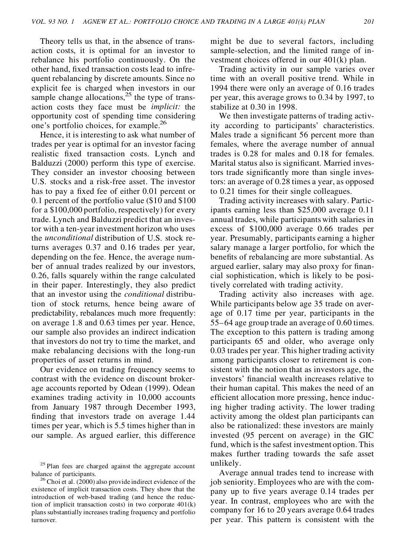Theory tells us that, in the absence of transaction costs, it is optimal for an investor to rebalance his portfolio continuously. On the other hand, fixed transaction costs lead to infrequent rebalancing by discrete amounts. Since no explicit fee is charged when investors in our sample change allocations, $2<sup>5</sup>$  the type of transaction costs they face must be *implicit:* the opportunity cost of spending time considering one's portfolio choices, for example.<sup>26</sup>

Hence, it is interesting to ask what number of trades per year is optimal for an investor facing realistic fixed transaction costs. Lynch and Balduzzi (2000) perform this type of exercise. They consider an investor choosing between U.S. stocks and a risk-free asset. The investor has to pay a fixed fee of either  $0.01$  percent or 0.1 percent of the portfolio value (\$10 and \$100 for a \$100,000 portfolio, respectively) for every trade. Lynch and Balduzzi predict that an investor with a ten-year investment horizon who uses the *unconditional* distribution of U.S. stock returns averages 0.37 and 0.16 trades per year, depending on the fee. Hence, the average number of annual trades realized by our investors, 0.26, falls squarely within the range calculated in their paper. Interestingly, they also predict that an investor using the *conditional* distribution of stock returns, hence being aware of predictability, rebalances much more frequently: on average 1.8 and 0.63 times per year. Hence, our sample also provides an indirect indication that investors do not try to time the market, and make rebalancing decisions with the long-run properties of asset returns in mind.

Our evidence on trading frequency seems to contrast with the evidence on discount brokerage accounts reported by Odean (1999). Odean examines trading activity in 10,000 accounts from January 1987 through December 1993, finding that investors trade on average 1.44 times per year, which is 5.5 times higher than in our sample. As argued earlier, this difference

balance of participants.<br><sup>26</sup> Choi et al. (2000) also provide indirect evidence of the existence of implicit transaction costs. They show that the introduction of web-based trading (and hence the reduction of implicit transaction costs) in two corporate 401(k) plans substantially increases trading frequency and portfolio turnover.

might be due to several factors, including sample-selection, and the limited range of investment choices offered in our 401(k) plan.

Trading activity in our sample varies over time with an overall positive trend. While in 1994 there were only an average of 0.16 trades per year, this average grows to 0.34 by 1997, to stabilize at 0.30 in 1998.

We then investigate patterns of trading activity according to participants' characteristics. Males trade a significant 56 percent more than females, where the average number of annual trades is 0.28 for males and 0.18 for females. Marital status also is significant. Married investors trade significantly more than single investors: an average of 0.28 times a year, as opposed to 0.21 times for their single colleagues.

Trading activity increases with salary. Participants earning less than \$25,000 average 0.11 annual trades, while participantswith salaries in excess of \$100,000 average 0.66 trades per year. Presumably, participants earning a higher salary manage a larger portfolio, for which the benefits of rebalancing are more substantial. As argued earlier, salary may also proxy for financial sophistication, which is likely to be positively correlated with trading activity.

Trading activity also increases with age. While participants below age 35 trade on average of 0.17 time per year, participants in the 55–64 age group trade an average of 0.60 times. The exception to this pattern is trading among participants 65 and older, who average only 0.03 trades per year. This higher trading activity among participants closer to retirement is consistent with the notion that as investors age, the investors' financial wealth increases relative to their human capital. This makes the need of an efficient allocation more pressing, hence inducing higher trading activity. The lower trading activity among the oldest plan participants can also be rationalized: these investors are mainly invested (95 percent on average) in the GIC fund, which is the safest investment option. This makes further trading towards the safe asset unlikely.

Average annual trades tend to increase with job seniority. Employees who are with the company up to five years average 0.14 trades per year. In contrast, employees who are with the company for 16 to 20 years average 0.64 trades per year. This pattern is consistent with the

<sup>&</sup>lt;sup>25</sup> Plan fees are charged against the aggregate account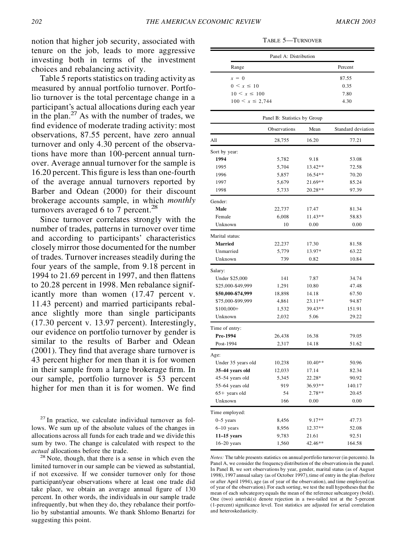notion that higher job security, associated with tenure on the job, leads to more aggressive investing both in terms of the investment choices and rebalancing activity.

Table 5 reports statistics on trading activity as measured by annual portfolio turnover. Portfolio turnover is the total percentage change in a participant's actual allocations during each year in the plan.<sup>27</sup> As with the number of trades, we find evidence of moderate trading activity: most observations, 87.55 percent, have zero annual turnover and only 4.30 percent of the observations have more than 100-percent annual turnover. Average annual turnover for the sample is 16.20 percent. This figure is less than one-fourth of the average annual turnovers reported by Barber and Odean (2000) for their discount brokerage accounts sample, in which *monthly* turnovers averaged 6 to 7 percent. $^{28}$ 

Since turnover correlates strongly with the number of trades, patterns in turnover over time and according to participants' characteristics closely mirror those documented for the number of trades. Turnover increases steadily during the four years of the sample, from 9.18 percent in 1994 to  $21.69$  percent in 1997, and then flattens to 20.28 percent in 1998. Men rebalance significantly more than women (17.47 percent v. 11.43 percent) and married participants rebalance slightly more than single participants (17.30 percent v. 13.97 percent). Interestingly, our evidence on portfolio turnover by gender is similar to the results of Barber and Odean  $(2001)$ . They find that average share turnover is 43 percent higher for men than it is for women in their sample from a large brokerage firm. In our sample, portfolio turnover is 53 percent higher for men than it is for women. We find

 $27$  In practice, we calculate individual turnover as follows. We sum up of the absolute values of the changes in allocations across all funds for each trade and we divide this sum by two. The change is calculated with respect to the *actual* allocations before the trade. <sup>28</sup> Note, though, that there is <sup>a</sup> sense in which even the

limited turnover in our sample can be viewed as substantial, if not excessive. If we consider turnover only for those participant/year observations where at least one trade did take place, we obtain an average annual figure of 130 percent. In other words, the individualsin our sample trade infrequently, but when they do, they rebalance their portfolio by substantial amounts. We thank Shlomo Benartzi for suggesting this point.

TABLE 5—TURNOVER

| Panel A: Distribution |         |
|-----------------------|---------|
| Range                 | Percent |
| $x = 0$               | 87.55   |
| $0 < x \leq 10$       | 0.35    |
| $10 \leq x \leq 100$  | 7.80    |
| $100 \le x \le 2,744$ | 4.30    |

| Panel B: Statistics by Group |              |           |                    |  |  |
|------------------------------|--------------|-----------|--------------------|--|--|
|                              | Observations | Mean      | Standard deviation |  |  |
| All                          | 28,755       | 16.20     | 77.21              |  |  |
| Sort by year:                |              |           |                    |  |  |
| 1994                         | 5,782        | 9.18      | 53.08              |  |  |
| 1995                         | 5,704        | 13.42**   | 72.58              |  |  |
| 1996                         | 5,857        | 16.54**   | 70.20              |  |  |
| 1997                         | 5,679        | 21.69**   | 85.24              |  |  |
| 1998                         | 5,733        | 20.28**   | 97.39              |  |  |
| Gender:                      |              |           |                    |  |  |
| Male                         | 22,737       | 17.47     | 81.34              |  |  |
| Female                       | 6,008        | $11.43**$ | 58.83              |  |  |
| Unknown                      | 10           | 0.00      | 0.00               |  |  |
| Marital status:              |              |           |                    |  |  |
| <b>Married</b>               | 22,237       | 17.30     | 81.58              |  |  |
| Unmarried                    | 5,779        | 13.97*    | 63.22              |  |  |
| Unknown                      | 739          | 0.82      | 10.84              |  |  |
| Salary:                      |              |           |                    |  |  |
| Under \$25,000               | 141          | 7.87      | 34.74              |  |  |
| \$25,000-\$49,999            | 1,291        | 10.80     | 47.48              |  |  |
| \$50,000-\$74,999            | 18,898       | 14.18     | 67.50              |  |  |
| \$75,000-\$99,999            | 4,861        | $23.11**$ | 94.87              |  |  |
| \$100,000+                   | 1,532        | 39.43**   | 151.91             |  |  |
| Unknown                      | 2,032        | 5.06      | 29.22              |  |  |
| Time of entry:               |              |           |                    |  |  |
| Pre-1994                     | 26,438       | 16.38     | 79.05              |  |  |
| Post-1994                    | 2,317        | 14.18     | 51.62              |  |  |
| Age:                         |              |           |                    |  |  |
| Under 35 years old           | 10,238       | $10.40**$ | 50.96              |  |  |
| 35-44 years old              | 12,033       | 17.14     | 82.34              |  |  |
| 45-54 years old              | 5,345        | 22.28*    | 90.92              |  |  |
| 55-64 years old              | 919          | 36.93**   | 140.17             |  |  |
| $65+$ years old              | 54           | $2.78**$  | 20.45              |  |  |
| Unknown                      | 166          | 0.00      | 0.00               |  |  |
| Time employed:               |              |           |                    |  |  |
| $0-5$ years                  | 8,456        | 9.17**    | 47.73              |  |  |
| $6-10$ years                 | 8,956        | $12.37**$ | 52.08              |  |  |
| $11-15$ years                | 9,783        | 21.61     | 92.51              |  |  |
| $16-20$ years                | 1,560        | 42.46**   | 164.58             |  |  |

*Notes:* The table presents statistics on annual portfolio turnover (in percents).In Panel A, we consider the frequency distribution of the observations in the panel. In Panel B, we sort observations by year, gender, marital status (as of August 1998), 1997 annual salary (as of October 1997), time of entry in the plan (before or after April 1994), age (as of year of the observation), and time employed (as of year of the observation). For each sorting, we test the null hypothesesthat the mean of each subcategory equals the mean of the reference subcategory (bold). One (two) asterisk(s) denote rejection in a two-tailed test at the 5-percent (1-percent) significance level. Test statistics are adjusted for serial correlation and heteroskedasticity.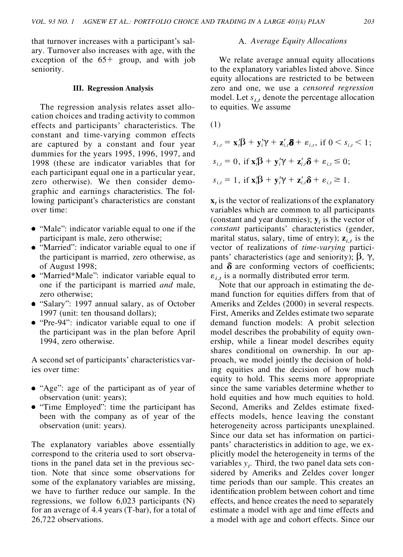that turnover increases with a participant's salary. Turnover also increases with age, with the exception of the  $65+$  group, and with job seniority.

#### **III. Regression Analysis**

The regression analysis relates asset allocation choices and trading activity to common effects and participants' characteristics. The constant and time-varying common effects are captured by a constant and four year dummies for the years 1995, 1996, 1997, and 1998 (these are indicator variables that for each participant equal one in a particular year, zero otherwise). We then consider demographic and earnings characteristics. The following participant's characteristics are constant over time:

- "Male": indicator variable equal to one if the participant is male, zero otherwise;
- "Married": indicator variable equal to one if the participant is married, zero otherwise, as of August 1998;
- "Married\*Male": indicator variable equal to one if the participant is married *and* male, zero otherwise;
- "Salary": 1997 annual salary, as of October 1997 (unit: ten thousand dollars);
- "Pre-94": indicator variable equal to one if the participant was in the plan before April 1994, zero otherwise.

A second set of participants' characteristics varies over time:

- "Age": age of the participant as of year of observation (unit: years);
- "Time Employed": time the participant has been with the company as of year of the observation (unit: years).

The explanatory variables above essentially correspond to the criteria used to sort observations in the panel data set in the previous section. Note that since some observations for some of the explanatory variables are missing, we have to further reduce our sample. In the regressions, we follow 6,023 participants (N) for an average of 4.4 years (T-bar), for a total of 26,722 observations.

## A. *Average Equity Allocations*

We relate average annual equity allocations to the explanatory variables listed above. Since equity allocations are restricted to be between zero and one, we use a *censored regression* model. Let  $s_{i,t}$  denote the percentage allocation to equities. We assume

(1)

$$
s_{i,t} = \mathbf{x}_i' \mathbf{\beta} + \mathbf{y}_i' \mathbf{\gamma} + \mathbf{z}_{i,t}' \mathbf{\delta} + \varepsilon_{i,t}, \text{ if } 0 < s_{i,t} < 1; s_{i,t} = 0, \text{ if } \mathbf{x}_i' \mathbf{\beta} + \mathbf{y}_i' \mathbf{\gamma} + \mathbf{z}_{i,t}' \mathbf{\delta} + \varepsilon_{i,t} \le 0; s_{i,t} = 1, \text{ if } \mathbf{x}_i' \mathbf{\beta} + \mathbf{y}_i' \mathbf{\gamma} + \mathbf{z}_{i,t}' \mathbf{\delta} + \varepsilon_{i,t} \ge 1.
$$

 $x_t$  is the vector of realizations of the explanatory variables which are common to all participants (constant and year dummies);  $y_i$  is the vector of *constant* participants' characteristics (gender, marital status, salary, time of entry);  $\mathbf{z}_{i}$ , is the vector of realizations of *time-varying* participants' characteristics (age and seniority);  $\beta$ ,  $\gamma$ , and  $\delta$  are conforming vectors of coefficients;  $\varepsilon_{i,t}$  is a normally distributed error term.

Note that our approach in estimating the demand function for equities differs from that of Ameriks and Zeldes (2000) in several respects. First, Ameriks and Zeldes estimate two separate demand function models: A probit selection model describes the probability of equity ownership, while a linear model describes equity shares conditional on ownership. In our approach, we model jointly the decision of holding equities and the decision of how much equity to hold. This seems more appropriate since the same variables determine whether to hold equities and how much equities to hold. Second, Ameriks and Zeldes estimate fixedeffects models, hence leaving the constant heterogeneity across participants unexplained. Since our data set has information on participants' characteristics in addition to age, we explicitly model the heterogeneity in terms of the variables  $y_i$ . Third, the two panel data sets considered by Ameriks and Zeldes cover longer time periods than our sample. This creates an identification problem between cohort and time effects, and hence creates the need to separately estimate a model with age and time effects and a model with age and cohort effects. Since our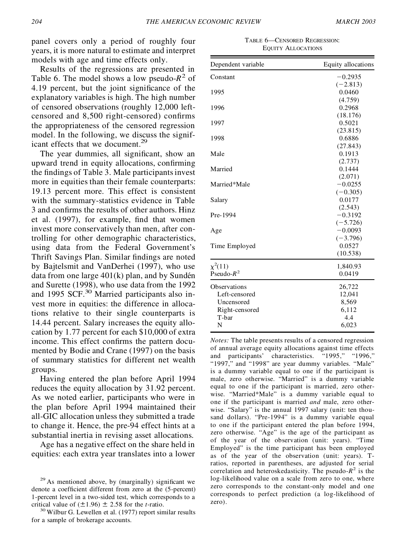panel covers only a period of roughly four years, it is more natural to estimate and interpret models with age and time effects only.

Results of the regressions are presented in Table 6. The model shows a low pseudo- $R^2$  of 4.19 percent, but the joint significance of the explanatory variables is high. The high number of censored observations (roughly 12,000 leftcensored and 8,500 right-censored) confirms the appropriateness of the censored regression model. In the following, we discuss the significant effects that we document.<sup>29</sup>

The year dummies, all significant, show an upward trend in equity allocations, confirming the findings of Table 3. Male participants invest more in equities than their female counterparts: 19.13 percent more. This effect is consistent with the summary-statistics evidence in Table 3 and confirms the results of other authors. Hinz et al. (1997), for example, find that women invest more conservatively than men, after controlling for other demographic characteristics, using data from the Federal Government's Thrift Savings Plan. Similar findings are noted by Bajtelsmit and VanDerhei (1997), who use data from one large  $401(k)$  plan, and by Sundén and Surette (1998), who use data from the 1992 and 1995 SCF.<sup>30</sup> Married participants also invest more in equities: the difference in allocations relative to their single counterparts is 14.44 percent. Salary increases the equity allocation by 1.77 percent for each \$10,000 of extra income. This effect confirms the pattern documented by Bodie and Crane (1997) on the basis of summary statistics for different net wealth groups.

Having entered the plan before April 1994 reduces the equity allocation by 31.92 percent. As we noted earlier, participants who were in the plan before April 1994 maintained their all-GIC allocation unless they submitted a trade to change it. Hence, the pre-94 effect hints at a substantial inertia in revising asset allocations.

Age has a negative effect on the share held in equities: each extra year translates into a lower

| TABLE 6-CENSORED REGRESSION: |  |
|------------------------------|--|
| <b>EQUITY ALLOCATIONS</b>    |  |

| Dependent variable | Equity allocations |
|--------------------|--------------------|
| Constant           | $-0.2935$          |
|                    | $(-2.813)$         |
| 1995               | 0.0460             |
|                    | (4.759)            |
| 1996               | 0.2968             |
|                    | (18.176)           |
| 1997               | 0.5021             |
|                    | (23.815)           |
| 1998               | 0.6886             |
|                    | (27.843)           |
| Male               | 0.1913             |
|                    | (2.737)            |
| Married            | 0.1444             |
|                    | (2.071)            |
| Married*Male       | $-0.0255$          |
|                    | $(-0.305)$         |
| Salary             | 0.0177             |
|                    | (2.543)            |
| Pre-1994           | $-0.3192$          |
|                    | $(-5.726)$         |
| Age                | $-0.0093$          |
|                    | $(-3.796)$         |
| Time Employed      | 0.0527             |
|                    | (10.538)           |
| $\chi^2(11)$       | 1,840.93           |
| Pseudo- $R^2$      | 0.0419             |
|                    |                    |
| Observations       | 26,722             |
| Left-censored      | 12,041             |
| Uncensored         | 8,569              |
| Right-censored     | 6,112              |
| T-bar              | 4.4                |
| N                  | 6,023              |

*Notes:* The table presents results of a censored regression of annual average equity allocations against time effects and participants' characteristics. "1995," "1996," "1997," and "1998" are year dummy variables. "Male" is a dummy variable equal to one if the participant is male, zero otherwise. "Married" is a dummy variable equal to one if the participant is married, zero otherwise. "Married\*Male" is a dummy variable equal to one if the participant is married *and* male, zero otherwise. "Salary" is the annual 1997 salary (unit: ten thousand dollars). "Pre-1994" is a dummy variable equal to one if the participant entered the plan before 1994, zero otherwise. "Age" is the age of the participant as of the year of the observation (unit: years). "Time Employed" is the time participant has been employed as of the year of the observation (unit: years). Tratios, reported in parentheses, are adjusted for serial correlation and heteroskedasticity. The pseudo- $R^2$  is the log-likelihood value on a scale from zero to one, where zero corresponds to the constant-only model and one corresponds to perfect prediction (a log-likelihood of zero).

 $29$  As mentioned above, by (marginally) significant we denote a coefficient different from zero at the (5-percent) 1-percent level in a two-sided test, which corresponds to a critical value of  $(\pm 1.96) \pm 2.58$  for the *t*-ratio.<br><sup>30</sup> Wilbur G. Lewellen et al. (1977) report similar results

for a sample of brokerage accounts.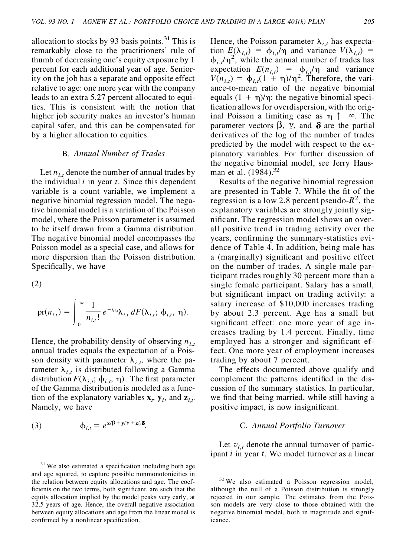allocation to stocks by 93 basis points.<sup>31</sup> This is remarkably close to the practitioners' rule of thumb of decreasing one's equity exposure by 1 percent for each additional year of age. Seniority on the job has a separate and opposite effect relative to age: one more year with the company leads to an extra 5.27 percent allocated to equities. This is consistent with the notion that higher job security makes an investor's human capital safer, and this can be compensated for by a higher allocation to equities.

#### B. *Annual Number of Trades*

Let  $n_{i,t}$  denote the number of annual trades by the individual *i* in year *t*. Since this dependent variable is a count variable, we implement a negative binomial regression model. The negative binomial model is a variation of the Poisson model, where the Poisson parameter is assumed to be itself drawn from a Gamma distribution. The negative binomial model encompasses the Poisson model as a special case, and allows for more dispersion than the Poisson distribution. Specifically, we have

(2)

$$
\mathrm{pr}(n_{i,t})=\int_0^\infty \frac{1}{n_{i,t}!} e^{-\lambda_{i,t}} \lambda_{i,t} dF(\lambda_{i,t}; \phi_{i,t}, \eta).
$$

Hence, the probability density of observing *<sup>n</sup>i*,*<sup>t</sup>* annual trades equals the expectation of <sup>a</sup> Poisson density with parameter  $\lambda_{i,t}$ , where the parameter  $\lambda_{i,t}$  is distributed following a Gamma distribution  $F(\lambda_{i,t}; \phi_{i,t}, \eta)$ . The first parameter of the Gamma distribution is modeled as a function of the explanatory variables  $\mathbf{x}_t$ ,  $\mathbf{y}_i$ , and  $\mathbf{z}_{i,t}$ . Namely, we have

$$
\qquad \qquad (\mathbf{3}) \qquad \qquad \Phi_{i,t} = e^{\mathbf{x}_i'\beta + \mathbf{y}_i'\gamma + \mathbf{z}_i',\mathbf{B}}.
$$

 $31$  We also estimated a specification including both age and age squared, to capture possible nonmonotonicities in the relation between equity allocations and age. The coef ficients on the two terms, both significant, are such that the equity allocation implied by the model peaks very early, at 32.5 years of age. Hence, the overall negative association between equity allocations and age from the linear model is confirmed by a nonlinear specification.

Hence, the Poisson parameter  $\lambda_{i,t}$  has expectation  $E(\lambda_{i,t}) = \phi_{i,t}/\eta$  and variance  $V(\lambda_{i,t}) =$  $\phi_{i,t}/n^2$ , while the annual number of trades has expectation  $E(n_{i,t}) = \phi_{i,t}/\eta$  and variance  $V(n_{i,t}) = \phi_{i,t} (1 + \eta)/\eta^2$ . Therefore, the variance-to-mean ratio of the negative binomial equals  $(1 + \eta)/\eta$ : the negative binomial specification allows for overdispersion, with the original Poisson a limiting case as  $\eta \uparrow \infty$ . The parameter vectors  $\beta$ ,  $\gamma$ , and  $\delta$  are the partial derivatives of the log of the number of trades predicted by the model with respect to the explanatory variables. For further discussion of the negative binomial model, see Jerry Hausman et al. (1984).<sup>32</sup>

Results of the negative binomial regression are presented in Table 7. While the fit of the regression is a low 2.8 percent pseudo- $R^2$ , the explanatory variables are strongly jointly significant. The regression model shows an overall positive trend in trading activity over the years, confirming the summary-statistics evidence of Table 4. In addition, being male has a (marginally) significant and positive effect on the number of trades. A single male participant trades roughly 30 percent more than a single female participant. Salary has a small, but significant impact on trading activity: a salary increase of \$10,000 increases trading by about 2.3 percent. Age has a small but significant effect: one more year of age increases trading by 1.4 percent. Finally, time employed has a stronger and significant effect. One more year of employment increases trading by about 7 percent.

The effects documented above qualify and complement the patterns identified in the discussion of the summary statistics. In particular, we find that being married, while still having a positive impact, is now insignificant.

#### C. *Annual Portfolio Turnover*

Let  $v_i$ , denote the annual turnover of participant *i* in year *t*. We model turnover as a linear

<sup>&</sup>lt;sup>32</sup> We also estimated a Poisson regression model, although the null of a Poisson distribution is strongly rejected in our sample. The estimates from the Pois son models are very close to those obtained with the negative binomial model, both in magnitude and significance.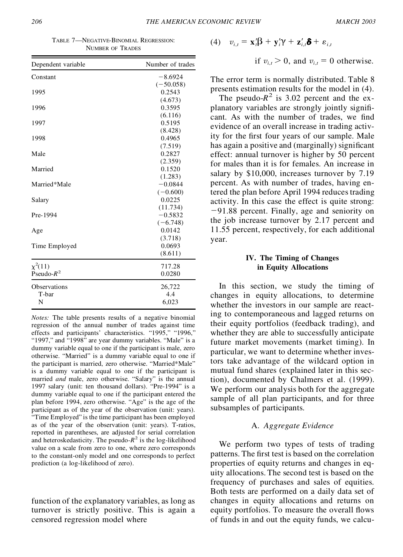TABLE 7—NEGATIVE-BINOMIAL REGRESSION: NUMBER OF TRADES

| Number of trades |
|------------------|
| $-8.6924$        |
| $(-50.058)$      |
| 0.2543           |
| (4.673)          |
| 0.3595           |
| (6.116)          |
| 0.5195           |
| (8.428)          |
| 0.4965           |
| (7.519)          |
| 0.2827           |
| (2.359)          |
| 0.1520           |
| (1.283)          |
| $-0.0844$        |
| $(-0.600)$       |
| 0.0225           |
| (11.734)         |
| $-0.5832$        |
| $(-6.748)$       |
| 0.0142           |
| (3.718)          |
| 0.0693           |
| (8.611)          |
| 717.28           |
| 0.0280           |
| 26,722           |
| 4.4              |
| 6,023            |
|                  |

*Notes:* The table presents results of a negative binomial regression of the annual number of trades against time effects and participants' characteristics. "1995," "1996," "1997," and "1998" are year dummy variables. "Male" is a dummy variable equal to one if the participant is male, zero otherwise. "Married" is a dummy variable equal to one if the participant is married, zero otherwise. "Married\*Male" is a dummy variable equal to one if the participant is married *and* male, zero otherwise. "Salary" is the annual 1997 salary (unit: ten thousand dollars). "Pre-1994" is a dummy variable equal to one if the participant entered the plan before 1994, zero otherwise. "Age" is the age of the participant as of the year of the observation (unit: years). "Time Employed" is the time participant has been employed as of the year of the observation (unit: years). T-ratios, reported in parentheses, are adjusted for serial correlation and heteroskedasticity. The pseudo- $R^2$  is the log-likelihood value on a scale from zero to one, where zero corresponds to the constant-only model and one corresponds to perfect prediction (a log-likelihood of zero).

function of the explanatory variables, as long as turnover is strictly positive. This is again a censored regression model where

$$
(4) \t v_{i,t} = \mathbf{x}'_t \mathbf{\beta} + \mathbf{y}'_i \mathbf{\gamma} + \mathbf{z}'_{i,t} \mathbf{\delta} + \varepsilon_{i,t}
$$

if 
$$
v_{i,t} > 0
$$
, and  $v_{i,t} = 0$  otherwise.

The error term is normally distributed. Table 8 presents estimation results for the model in (4).

The pseudo- $R^2$  is 3.02 percent and the explanatory variables are strongly jointly significant. As with the number of trades, we find evidence of an overall increase in trading activity for the first four years of our sample. Male has again a positive and (marginally) significant effect: annual turnover is higher by 50 percent for males than it is for females. An increase in salary by \$10,000, increases turnover by 7.19 percent. As with number of trades, having entered the plan before April 1994 reduces trading activity. In this case the effect is quite strong:  $-91.88$  percent. Finally, age and seniority on the job increase turnover by 2.17 percent and 11.55 percent, respectively, for each additional year.

## **IV. The Timing of Changes in Equity Allocations**

In this section, we study the timing of changes in equity allocations, to determine whether the investors in our sample are reacting to contemporaneous and lagged returns on their equity portfolios (feedback trading), and whether they are able to successfully anticipate future market movements (market timing). In particular, we want to determine whether investors take advantage of the wildcard option in mutual fund shares (explained later in this section), documented by Chalmers et al. (1999). We perform our analysis both for the aggregate sample of all plan participants, and for three subsamples of participants.

## A. *Aggregate Evidence*

We perform two types of tests of trading patterns. The first test is based on the correlation properties of equity returns and changes in equity allocations. The second test is based on the frequency of purchases and sales of equities. Both tests are performed on a daily data set of changes in equity allocations and returns on equity portfolios. To measure the overall flows of funds in and out the equity funds, we calcu-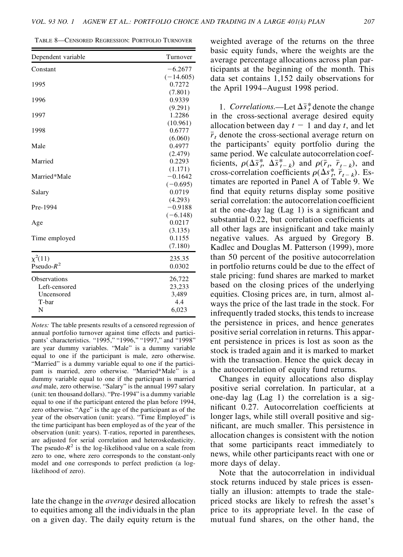TABLE 8—CENSORED REGRESSION: PORTFOLIO TURNOVER

| Dependent variable | Turnover    |
|--------------------|-------------|
| Constant           | $-6.2677$   |
|                    | $(-14.605)$ |
| 1995               | 0.7272      |
|                    | (7.801)     |
| 1996               | 0.9339      |
|                    | (9.291)     |
| 1997               | 1.2286      |
|                    | (10.961)    |
| 1998               | 0.6777      |
|                    | (6.060)     |
| Male               | 0.4977      |
|                    | (2.479)     |
| Married            | 0.2293      |
|                    | (1.171)     |
| Married*Male       | $-0.1642$   |
|                    | $(-0.695)$  |
| Salary             | 0.0719      |
|                    | (4.293)     |
| Pre-1994           | $-0.9188$   |
|                    | $(-6.148)$  |
| Age                | 0.0217      |
|                    | (3.135)     |
| Time employed      | 0.1155      |
|                    | (7.180)     |
| $\chi^2(11)$       | 235.35      |
| Pseudo- $R^2$      | 0.0302      |
|                    |             |
| Observations       | 26,722      |
| Left-censored      | 23,233      |
| Uncensored         | 3,489       |
| T-bar              | 4.4         |
| N                  | 6,023       |

*Notes:* The table presents results of a censored regression of annual portfolio turnover against time effects and participants' characteristics. "1995," "1996," "1997," and "1998" are year dummy variables. "Male" is a dummy variable equal to one if the participant is male, zero otherwise. "Married" is a dummy variable equal to one if the participant is married, zero otherwise. "Married\*Male" is a dummy variable equal to one if the participant is married *and* male, zero otherwise. "Salary" is the annual 1997 salary (unit: ten thousand dollars). "Pre-1994" is a dummy variable equal to one if the participant entered the plan before 1994, zero otherwise. "Age" is the age of the participant as of the year of the observation (unit: years). "Time Employed" is the time participant has been employed as of the year of the observation (unit: years). T-ratios, reported in parentheses, are adjusted for serial correlation and heteroskedasticity. The pseudo- $R^2$  is the log-likelihood value on a scale from zero to one, where zero corresponds to the constant-only model and one corresponds to perfect prediction (a loglikelihood of zero).

late the change in the *average* desired allocation to equities among all the individualsin the plan on a given day. The daily equity return is the weighted average of the returns on the three basic equity funds, where the weights are the average percentage allocations across plan participants at the beginning of the month. This data set contains 1,152 daily observations for the April 1994–August 1998 period.

1. *Correlations*.—Let  $\Delta \bar{s}^*$  denote the change in the cross-sectional average desired equity allocation between day  $t - 1$  and day  $t$ , and let  $\bar{r}_t$  denote the cross-sectional average return on the participants' equity portfolio during the same period. We calculate autocorrelation coef ficients,  $\rho(\Delta \bar{s}_{t}^*, \Delta \bar{s}_{t-k}^*)$  and  $\rho(\bar{r}_t, \bar{r}_{t-k})$ , and cross-correlation coefficients  $\rho(\Delta s^*, \bar{r}_{t-k})$ . Estimates are reported in Panel A of Table 9. We find that equity returns display some positive serial correlation: the autocorrelation coefficient at the one-day lag  $(Lag 1)$  is a significant and substantial 0.22, but correlation coefficients at all other lags are insignificant and take mainly negative values. As argued by Gregory B. Kadlec and Douglas M. Patterson (1999), more than 50 percent of the positive autocorrelation in portfolio returns could be due to the effect of stale pricing: fund shares are marked to market based on the closing prices of the underlying equities. Closing prices are, in turn, almost always the price of the last trade in the stock. For infrequently traded stocks, this tends to increase the persistence in prices, and hence generates positive serial correlation in returns. This apparent persistence in prices is lost as soon as the stock is traded again and it is marked to market with the transaction. Hence the quick decay in the autocorrelation of equity fund returns.

Changes in equity allocations also display positive serial correlation. In particular, at a one-day lag (Lag 1) the correlation is a significant 0.27. Autocorrelation coefficients at longer lags, while still overall positive and significant, are much smaller. This persistence in allocation changes is consistent with the notion that some participants react immediately to news, while other participants react with one or more days of delay.

Note that the autocorrelation in individual stock returns induced by stale prices is essentially an illusion: attempts to trade the stalepriced stocks are likely to refresh the asset's price to its appropriate level. In the case of mutual fund shares, on the other hand, the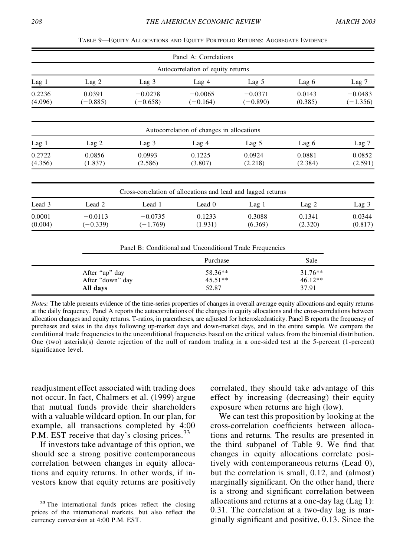|                   |                         |                                                              | Panel A: Correlations                     |                         |                   |                         |
|-------------------|-------------------------|--------------------------------------------------------------|-------------------------------------------|-------------------------|-------------------|-------------------------|
|                   |                         |                                                              | Autocorrelation of equity returns         |                         |                   |                         |
| Lag <sub>1</sub>  | Lag <sub>2</sub>        | Lag <sub>3</sub>                                             | Lag <sub>4</sub>                          | Lag $5$                 | Lag $6$           | $Lag$ 7                 |
| 0.2236<br>(4.096) | 0.0391<br>$(-0.885)$    | $-0.0278$<br>$(-0.658)$                                      | $-0.0065$<br>$(-0.164)$                   | $-0.0371$<br>$(-0.890)$ | 0.0143<br>(0.385) | $-0.0483$<br>$(-1.356)$ |
|                   |                         |                                                              | Autocorrelation of changes in allocations |                         |                   |                         |
| Lag <sub>1</sub>  | Lag <sub>2</sub>        | Lag <sub>3</sub>                                             | Lag <sub>4</sub>                          | Lag 5                   | Lag $6$           | Lag 7                   |
| 0.2722<br>(4.356) | 0.0856<br>(1.837)       | 0.0993<br>(2.586)                                            | 0.1225<br>(3.807)                         | 0.0924<br>(2.218)       | 0.0881<br>(2.384) | 0.0852<br>(2.591)       |
|                   |                         | Cross-correlation of allocations and lead and lagged returns |                                           |                         |                   |                         |
| Lead 3            | Lead 2                  | Lead 1                                                       | Lead 0                                    | Lag <sub>1</sub>        | Lag <sub>2</sub>  | Lag 3                   |
| 0.0001<br>(0.004) | $-0.0113$<br>$(-0.339)$ | $-0.0735$<br>$(-1.769)$                                      | 0.1233<br>(1.931)                         | 0.3088<br>(6.369)       | 0.1341<br>(2.320) | 0.0344<br>(0.817)       |

TABLE 9—EQUITY ALLOCATIONS AND EQUITY PORTFOLIO RETURNS: AGGREGATE EVIDENCE

Panel B: Conditional and Unconditional Trade Frequencies

|                  | Purchase  | Sale      |
|------------------|-----------|-----------|
| After "up" day   | 58.36**   | $31.76**$ |
| After "down" day | $45.51**$ | $46.12**$ |
| All days         | 52.87     | 37.91     |

*Notes:* The table presents evidence of the time-series properties of changes in overall average equity allocations and equity returns at the daily frequency. Panel A reports the autocorrelations of the changes in equity allocations and the cross-correlations between allocation changes and equity returns. T-ratios, in parentheses, are adjusted for heteroskedasticity. Panel B reports the frequency of purchases and sales in the days following up-market days and down-market days, and in the entire sample. We compare the conditional trade frequencies to the unconditional frequencies based on the critical values from the binomial distribution. One (two) asterisk(s) denote rejection of the null of random trading in a one-sided test at the 5-percent (1-percent) significance level.

readjustment effect associated with trading does not occur. In fact, Chalmers et al. (1999) argue that mutual funds provide their shareholders with a valuable wildcard option. In our plan, for example, all transactions completed by 4:00 P.M. EST receive that day's closing prices.<sup>33</sup>

If investors take advantage of this option, we should see a strong positive contemporaneous correlation between changes in equity allocations and equity returns. In other words, if investors know that equity returns are positively correlated, they should take advantage of this effect by increasing (decreasing) their equity exposure when returns are high (low).

We can test this proposition by looking at the cross-correlation coefficients between allocations and returns. The results are presented in the third subpanel of Table 9. We find that changes in equity allocations correlate positively with contemporaneous returns (Lead 0), but the correlation is small, 0.12, and (almost) marginally significant. On the other hand, there is a strong and significant correlation between allocations and returns at a one-day lag (Lag 1): 0.31. The correlation at a two-day lag is marginally significant and positive, 0.13. Since the

 $33$  The international funds prices reflect the closing prices of the international markets, but also reflect the currency conversion at 4:00 P.M. EST.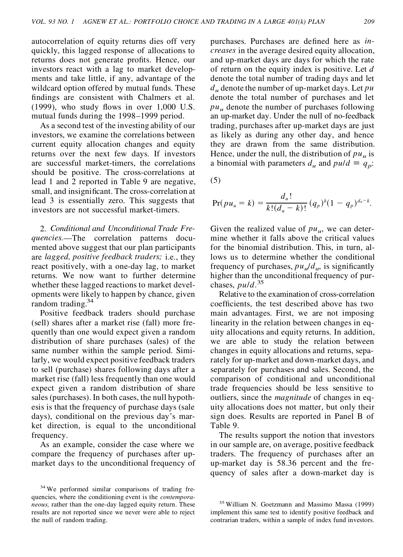autocorrelation of equity returns dies off very quickly, this lagged response of allocations to returns does not generate profits. Hence, our investors react with a lag to market developments and take little, if any, advantage of the wildcard option offered by mutual funds. These findings are consistent with Chalmers et al.  $(1999)$ , who study flows in over  $1,000$  U.S. mutual funds during the 1998–1999 period.

As a second test of the investing ability of our investors, we examine the correlations between current equity allocation changes and equity returns over the next few days. If investors are successful market-timers, the correlations should be positive. The cross-correlations at lead 1 and 2 reported in Table 9 are negative, small, and insignificant. The cross-correlation at lead 3 is essentially zero. This suggests that investors are not successful market-timers.

2. *Conditional and Unconditional Trade Frequencies.*—The correlation patterns documented above suggest that our plan participants are *lagged, positive feedback traders;* i.e., they react positively, with a one-day lag, to market returns. We now want to further determine whether these lagged reactions to market developments were likely to happen by chance, given random trading.<sup>34</sup>

Positive feedback traders should purchase (sell) shares after a market rise (fall) more frequently than one would expect given a random distribution of share purchases (sales) of the same number within the sample period. Similarly, we would expect positive feedback traders to sell (purchase) shares following days after a market rise (fall) less frequently than one would expect given a random distribution of share sales (purchases). In both cases, the null hypothesis is that the frequency of purchase days (sale days), conditional on the previous day's market direction, is equal to the unconditional frequency.

As an example, consider the case where we compare the frequency of purchases after upmarket days to the unconditional frequency of

purchases. Purchases are defined here as *increases* in the average desired equity allocation, and up-market days are days for which the rate of return on the equity index is positive. Let *d* denote the total number of trading days and let *du* denote the number of up-market days. Let *pu* denote the total number of purchases and let  $pu<sub>u</sub>$  denote the number of purchases following an up-market day. Under the null of no-feedback trading, purchases after up-market days are just as likely as during any other day, and hence they are drawn from the same distribution. Hence, under the null, the distribution of  $pu<sub>u</sub>$  is a binomial with parameters  $d_u$  and  $p_u/d \equiv q_p$ :

(5)

$$
Pr(pu_u = k) = \frac{d_u!}{k!(d_u - k)!} (q_p)^k (1 - q_p)^{d_u - k}.
$$

Given the realized value of  $pu<sub>u</sub>$ , we can determine whether it falls above the critical values for the binomial distribution. This, in turn, allows us to determine whether the conditional frequency of purchases,  $pu<sub>u</sub>/d<sub>u</sub>$ , is significantly higher than the unconditional frequency of purchases,  $pul/d$ .<sup>35</sup>

Relative to the examination of cross-correlation coefficients, the test described above has two main advantages. First, we are not imposing linearity in the relation between changes in equity allocations and equity returns. In addition, we are able to study the relation between changes in equity allocations and returns, separately for up-market and down-market days, and separately for purchases and sales. Second, the comparison of conditional and unconditional trade frequencies should be less sensitive to outliers, since the *magnitude* of changes in equity allocations does not matter, but only their sign does. Results are reported in Panel B of Table 9.

The results support the notion that investors in our sample are, on average, positive feedback traders. The frequency of purchases after an up-market day is 58.36 percent and the frequency of sales after a down-market day is

<sup>34</sup> We performed similar comparisons of trading frequencies, where the conditioning event is the *contemporaneous,* rather than the one-day lagged equity return. These results are not reported since we never were able to reject the null of random trading.

<sup>35</sup> William N. Goetzmann and Massimo Massa (1999) implement this same test to identify positive feedback and contrarian traders, within a sample of index fund investors.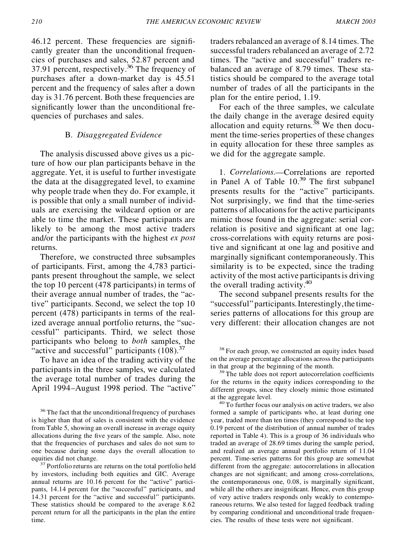46.12 percent. These frequencies are significantly greater than the unconditional frequencies of purchases and sales, 52.87 percent and 37.91 percent, respectively.<sup>36</sup> The frequency of purchases after a down-market day is 45.51 percent and the frequency of sales after a down day is 31.76 percent. Both these frequencies are significantly lower than the unconditional frequencies of purchases and sales.

# B. *Disaggregated Evidence*

The analysis discussed above gives us a picture of how our plan participants behave in the aggregate. Yet, it is useful to further investigate the data at the disaggregated level, to examine why people trade when they do. For example, it is possible that only a small number of individuals are exercising the wildcard option or are able to time the market. These participants are likely to be among the most active traders and/or the participants with the highest *ex post* returns.

Therefore, we constructed three subsamples of participants. First, among the 4,783 participants present throughout the sample, we select the top 10 percent (478 participants) in terms of their average annual number of trades, the "active" participants. Second, we select the top 10 percent (478) participants in terms of the realized average annual portfolio returns, the "successful" participants. Third, we select those participants who belong to *both* samples, the "active and successful" participants  $(108)^{37}$ 

To have an idea of the trading activity of the participants in the three samples, we calculated the average total number of trades during the April 1994–August 1998 period. The "active"

by investors, including both equities and GIC. Average annual returns are 10.16 percent for the "active" participants, 14.14 percent for the "successful" participants, and 14.31 percent for the "active and successful" participants. These statistics should be compared to the average 8.62 percent return for all the participants in the plan the entire time.

traders rebalanced an average of 8.14 times. The successful traders rebalanced an average of 2.72 times. The "active and successful" traders rebalanced an average of 8.79 times. These statistics should be compared to the average total number of trades of all the participants in the plan for the entire period, 1.19.

For each of the three samples, we calculate the daily change in the average desired equity allocation and equity returns. $38$  We then document the time-series properties of these changes in equity allocation for these three samples as we did for the aggregate sample.

1. *Correlations.*—Correlations are reported in Panel A of Table  $10^{39}$  The first subpanel presents results for the "active" participants. Not surprisingly, we find that the time-series patterns of allocationsfor the active participants mimic those found in the aggregate: serial correlation is positive and significant at one lag; cross-correlations with equity returns are positive and significant at one lag and positive and marginally significant contemporaneously. This similarity is to be expected, since the trading activity of the most active participantsis driving the overall trading activity.<sup>40</sup>

The second subpanel presents results for the "successful" participants.Interestingly,the timeseries patterns of allocations for this group are very different: their allocation changes are not

formed a sample of participants who, at least during one year, traded more than ten times (they correspond to the top 0.19 percent of the distribution of annual number of trades reported in Table 4). This is a group of 36 individuals who traded an average of 28.69 times during the sample period, and realized an average annual portfolio return of 11.04 percent. Time-series patterns for this group are somewhat different from the aggregate: autocorrelations in allocation changes are not significant; and among cross-correlations, the contemporaneous one, 0.08, is marginally significant, while all the others are insignificant. Hence, even this group of very active traders responds only weakly to contemporaneous returns. We also tested for lagged feedback trading by comparing conditional and unconditional trade frequencies. The results of these tests were not significant.

<sup>&</sup>lt;sup>36</sup> The fact that the unconditional frequency of purchases is higher than that of sales is consistent with the evidence from Table 5, showing an overall increase in average equity allocations during the five years of the sample. Also, note that the frequencies of purchases and sales do not sum to one because during some days the overall allocation to equities did not change. <sup>37</sup> Portfolio returns are returns on the total portfolio held

<sup>&</sup>lt;sup>38</sup> For each group, we constructed an equity index based on the average percentage allocations across the participants in that group at the beginning of the month.  $39$  The table does not report autocorrelation coefficients

for the returns in the equity indices corresponding to the different groups, since they closely mimic those estimated at the aggregate level.<br><sup>40</sup> To further focus our analysis on active traders, we also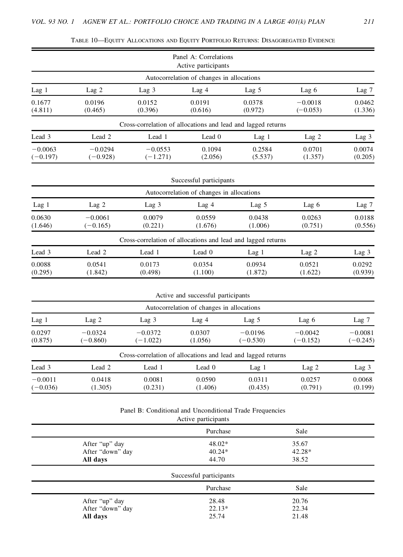|                         |                                             |                                                              | Panel A: Correlations<br>Active participants |                         |                         |                         |
|-------------------------|---------------------------------------------|--------------------------------------------------------------|----------------------------------------------|-------------------------|-------------------------|-------------------------|
|                         |                                             |                                                              | Autocorrelation of changes in allocations    |                         |                         |                         |
| Lag 1                   | Lag 2                                       | Lag 3                                                        | Lag <sub>4</sub>                             | Lag 5                   | Lag 6                   | Lag 7                   |
| 0.1677<br>(4.811)       | 0.0196<br>(0.465)                           | 0.0152<br>(0.396)                                            | 0.0191<br>(0.616)                            | 0.0378<br>(0.972)       | $-0.0018$<br>$(-0.053)$ | 0.0462<br>(1.336)       |
|                         |                                             | Cross-correlation of allocations and lead and lagged returns |                                              |                         |                         |                         |
| Lead 3                  | Lead 2                                      | Lead 1                                                       | Lead 0                                       | Lag 1                   | Lag 2                   | Lag <sub>3</sub>        |
| $-0.0063$<br>$(-0.197)$ | $-0.0294$<br>$(-0.928)$                     | $-0.0553$<br>$(-1.271)$                                      | 0.1094<br>(2.056)                            | 0.2584<br>(5.537)       | 0.0701<br>(1.357)       | 0.0074<br>(0.205)       |
|                         |                                             |                                                              | Successful participants                      |                         |                         |                         |
|                         |                                             |                                                              | Autocorrelation of changes in allocations    |                         |                         |                         |
| Lag <sub>1</sub>        | Lag <sub>2</sub>                            | Lag <sub>3</sub>                                             | Lag <sub>4</sub>                             | Lag 5                   | Lag $6$                 | $Lag$ 7                 |
| 0.0630<br>(1.646)       | $-0.0061$<br>$(-0.165)$                     | 0.0079<br>(0.221)                                            | 0.0559<br>(1.676)                            | 0.0438<br>(1.006)       | 0.0263<br>(0.751)       | 0.0188<br>(0.556)       |
|                         |                                             | Cross-correlation of allocations and lead and lagged returns |                                              |                         |                         |                         |
| Lead 3                  | Lead 2                                      | Lead 1                                                       | Lead 0                                       | Lag 1                   | Lag 2                   | Lag 3                   |
| 0.0088<br>(0.295)       | 0.0541<br>(1.842)                           | 0.0173<br>(0.498)                                            | 0.0354<br>(1.100)                            | 0.0934<br>(1.872)       | 0.0521<br>(1.622)       | 0.0292<br>(0.939)       |
|                         |                                             |                                                              | Active and successful participants           |                         |                         |                         |
|                         |                                             |                                                              | Autocorrelation of changes in allocations    |                         |                         |                         |
| Lag 1                   | Lag 2                                       | Lag 3                                                        | Lag 4                                        | Lag $5$                 | Lag $6$                 | $Lag$ 7                 |
| 0.0297<br>(0.875)       | $-0.0324$<br>$(-0.860)$                     | $-0.0372$<br>$(-1.022)$                                      | 0.0307<br>(1.056)                            | $-0.0196$<br>$(-0.530)$ | $-0.0042$<br>$(-0.152)$ | $-0.0081$<br>$(-0.245)$ |
|                         |                                             | Cross-correlation of allocations and lead and lagged returns |                                              |                         |                         |                         |
| Lead 3                  | Lead 2                                      | Lead 1                                                       | Lead 0                                       | Lag <sub>1</sub>        | Lag <sub>2</sub>        | Lag <sub>3</sub>        |
| $-0.0011$<br>$(-0.036)$ | 0.0418<br>(1.305)                           | 0.0081<br>(0.231)                                            | 0.0590<br>(1.406)                            | 0.0311<br>(0.435)       | 0.0257<br>(0.791)       | 0.0068<br>(0.199)       |
|                         |                                             | Panel B: Conditional and Unconditional Trade Frequencies     | Active participants                          |                         |                         |                         |
|                         |                                             |                                                              | Purchase                                     |                         | Sale                    |                         |
|                         | After "up" day<br>After "down" day<br>. 11. |                                                              | 48.02*<br>40.24*<br>4.4.70                   |                         | 35.67<br>42.28*<br>20E  |                         |

TABLE 10—EQUITY ALLOCATIONS AND EQUITY PORTFOLIO RETURNS: DISAGGREGATED EVIDENCE

| After "up" day   | 48.02*                  | 35.67    |  |
|------------------|-------------------------|----------|--|
| After "down" day | $40.24*$                | $42.28*$ |  |
| All days         | 44.70                   | 38.52    |  |
|                  | Successful participants |          |  |
|                  | Purchase                | Sale     |  |
| After "up" day   | 28.48                   | 20.76    |  |
| After "down" day | $22.13*$                | 22.34    |  |
| All days         | 25.74                   | 21.48    |  |

 $\qquad \qquad$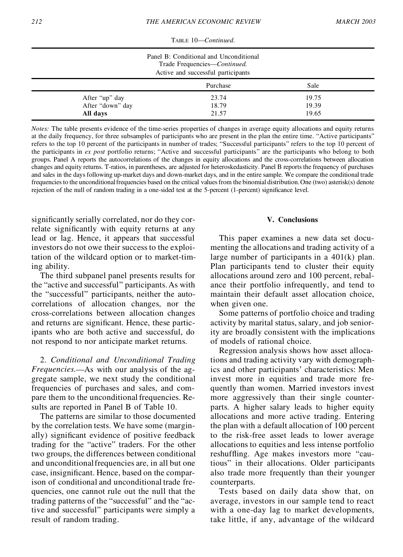TABLE 10—*Continued.*

| Panel B: Conditional and Unconditional<br>Trade Frequencies-Continued.<br>Active and successful participants |                         |                         |  |  |
|--------------------------------------------------------------------------------------------------------------|-------------------------|-------------------------|--|--|
|                                                                                                              | Purchase                | Sale                    |  |  |
| After "up" day<br>After "down" day<br>All days                                                               | 23.74<br>18.79<br>21.57 | 19.75<br>19.39<br>19.65 |  |  |

*Notes:* The table presents evidence of the time-series properties of changes in average equity allocations and equity returns at the daily frequency, for three subsamples of participants who are present in the plan the entire time. "Active participants" refers to the top 10 percent of the participants in number of trades; "Successful participants" refers to the top 10 percent of the participants in *ex post* portfolio returns; "Active and successful participants" are the participants who belong to both groups. Panel A reports the autocorrelations of the changes in equity allocations and the cross-correlations between allocation changes and equity returns. T-ratios, in parentheses, are adjusted for heteroskedasticity. Panel B reportsthe frequency of purchases and sales in the days following up-market days and down-market days, and in the entire sample. We compare the conditional trade frequencies to the unconditional frequencies based on the critical values from the binomial distribution. One (two) asterisk(s) denote rejection of the null of random trading in a one-sided test at the 5-percent (1-percent) significance level.

significantly serially correlated, nor do they correlate significantly with equity returns at any lead or lag. Hence, it appears that successful investors do not owe their success to the exploitation of the wildcard option or to market-timing ability.

The third subpanel panel presents results for the "active and successful" participants.As with the "successful" participants, neither the autocorrelations of allocation changes, nor the cross-correlations between allocation changes and returns are significant. Hence, these participants who are both active and successful, do not respond to nor anticipate market returns.

2. *Conditional and Unconditional Trading Frequencies.*—As with our analysis of the aggregate sample, we next study the conditional frequencies of purchases and sales, and compare them to the unconditional frequencies. Results are reported in Panel B of Table 10.

The patterns are similar to those documented by the correlation tests. We have some (marginally) significant evidence of positive feedback trading for the "active" traders. For the other two groups, the differences between conditional and unconditionalfrequencies are, in all but one case, insignificant. Hence, based on the comparison of conditional and unconditional trade frequencies, one cannot rule out the null that the trading patterns of the "successful" and the "active and successful" participants were simply a result of random trading.

## **V. Conclusions**

This paper examines a new data set documenting the allocations and trading activity of a large number of participants in a 401(k) plan. Plan participants tend to cluster their equity allocations around zero and 100 percent, rebalance their portfolio infrequently, and tend to maintain their default asset allocation choice, when given one.

Some patterns of portfolio choice and trading activity by marital status, salary, and job seniority are broadly consistent with the implications of models of rational choice.

Regression analysis shows how asset allocations and trading activity vary with demographics and other participants' characteristics: Men invest more in equities and trade more frequently than women. Married investors invest more aggressively than their single counterparts. A higher salary leads to higher equity allocations and more active trading. Entering the plan with a default allocation of 100 percent to the risk-free asset leads to lower average allocations to equities and less intense portfolio reshuffling. Age makes investors more "cautious" in their allocations. Older participants also trade more frequently than their younger counterparts.

Tests based on daily data show that, on average, investors in our sample tend to react with a one-day lag to market developments, take little, if any, advantage of the wildcard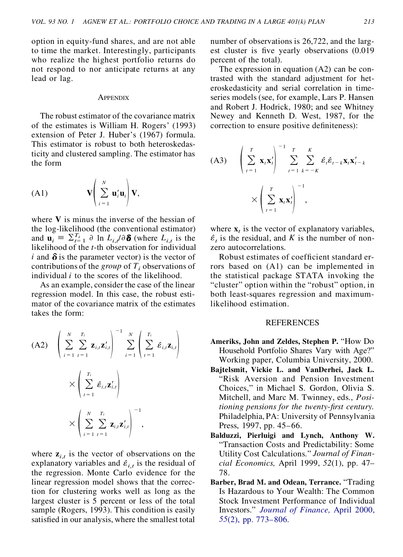option in equity-fund shares, and are not able to time the market. Interestingly, participants who realize the highest portfolio returns do not respond to nor anticipate returns at any lead or lag.

#### **APPENDIX**

The robust estimator of the covariance matrix of the estimates is William H. Rogers' (1993) extension of Peter J. Huber's (1967) formula. This estimator is robust to both heteroskedasticity and clustered sampling. The estimator has the form

$$
\mathbf{V}\left(\sum_{i=1}^N \mathbf{u}_i' \mathbf{u}_i\right) \mathbf{V},
$$

where  $V$  is minus the inverse of the hessian of the log-likelihood (the conventional estimator) and  $\mathbf{u}_i = \sum_{t=1}^T \partial \ln L_{i,t}/\partial \mathbf{\delta}$  (where  $L_{i,t}$  is the likelihood of the *t*-th observation for individual *i* and  $\delta$  is the parameter vector) is the vector of contributions of the *group* of *Ti* observations of individual *i* to the scores of the likelihood.

As an example, consider the case of the linear regression model. In this case, the robust estimator of the covariance matrix of the estimates takes the form:

$$
(A2) \quad \left(\sum_{i=1}^{N} \sum_{t=1}^{T_i} \mathbf{z}_{i,t} \mathbf{z}_{i,t}'\right)^{-1} \sum_{i=1}^{N} \left(\sum_{t=1}^{T_i} \hat{\varepsilon}_{i,t} \mathbf{z}_{i,t}'\right)
$$
\n
$$
\times \left(\sum_{t=1}^{T_i} \hat{\varepsilon}_{i,t} \mathbf{z}_{i,t}'\right)
$$
\n
$$
\times \left(\sum_{i=1}^{N} \sum_{t=1}^{T_i} \mathbf{z}_{i,t} \mathbf{z}_{i,t}'\right)^{-1},
$$

where  $z_{i,t}$  is the vector of observations on the explanatory variables and  $\hat{\epsilon}_{i,t}$  is the residual of the regression. Monte Carlo evidence for the linear regression model shows that the correction for clustering works well as long as the largest cluster is 5 percent or less of the total sample (Rogers, 1993). This condition is easily satisfied in our analysis, where the smallest total number of observations is 26,722, and the largest cluster is five yearly observations  $(0.019)$ percent of the total).

The expression in equation (A2) can be contrasted with the standard adjustment for heteroskedasticity and serial correlation in timeseries models (see, for example, Lars P. Hansen and Robert J. Hodrick, 1980; and see Whitney Newey and Kenneth D. West, 1987, for the correction to ensure positive definiteness):

$$
\begin{aligned} \text{(A3)} \qquad & \left( \sum_{t=1}^{T} \mathbf{x}_{t} \mathbf{x}_{t}^{\prime} \right)^{-1} \sum_{t=1}^{T} \sum_{k=-K}^{K} \hat{\varepsilon}_{t} \hat{\varepsilon}_{t-k} \mathbf{x}_{t} \mathbf{x}_{t-k}^{\prime} \\ & \times \left( \sum_{t=1}^{T} \mathbf{x}_{t} \mathbf{x}_{t}^{\prime} \right)^{-1}, \end{aligned}
$$

where  $\mathbf{x}_t$  is the vector of explanatory variables,  $\hat{\varepsilon}_t$  is the residual, and *K* is the number of nonzero autocorrelations.

Robust estimates of coefficient standard errors based on (A1) can be implemented in the statistical package STATA invoking the "cluster" option within the "robust" option, in both least-squares regression and maximumlikelihood estimation.

## REFERENCES

- **Ameriks, John and Zeldes, Stephen P.** "How Do Household Portfolio Shares Vary with Age?" Working paper, Columbia University, 2000.
- **Bajtelsmit, Vickie L. and VanDerhei, Jack L.** "Risk Aversion and Pension Investment Choices," in Michael S. Gordon, Olivia S. Mitchell, and Marc M. Twinney, eds., *Positioning pensions for the twenty-first century.* Philadelphia, PA: University of Pennsylvania Press, 1997, pp. 45–66.
- **Balduzzi, Pierluigi and Lynch, Anthony W.** "Transaction Costs and Predictability: Some Utility Cost Calculations." *Journal of Financial Economics,* April 1999, *52*(1), pp. 47– 78.
- **Barber, Brad M. and Odean, Terrance.** "Trading Is Hazardous to Your Wealth: The Common Stock Investment Performance of Individual Investors." *Journal of [Finance,](http://www.ingentaselect.com/rpsv/cgi-bin/linker?ext=a&reqidx=/0022-1082^28200004^2955:2L.773[aid=1624552])* April 2000, *55*(2), pp. [773–806.](http://www.ingentaselect.com/rpsv/cgi-bin/linker?ext=a&reqidx=/0022-1082^28200004^2955:2L.773[aid=1624552])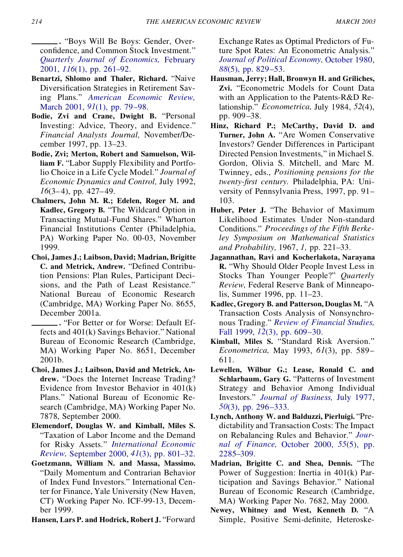**.** "Boys Will Be Boys: Gender, Overconfidence, and Common Stock Investment." *Quarterly Journal of [Economics,](http://www.ingentaselect.com/rpsv/cgi-bin/linker?ext=a&reqidx=/0033-5533^28200102^29116:1L.261[aid=1618906])* February 2001, *116*(1), pp. [261–92.](http://www.ingentaselect.com/rpsv/cgi-bin/linker?ext=a&reqidx=/0033-5533^28200102^29116:1L.261[aid=1618906])

- **Benartzi, Shlomo and Thaler, Richard.** "Naive Diversification Strategies in Retirement Saving Plans." *American [Economic](http://www.ingentaselect.com/rpsv/cgi-bin/linker?ext=a&reqidx=/0002-8282^28200103^2991:1L.79[aid=1616485]) Review,* March 2001, *91*(1), pp. [79–98.](http://www.ingentaselect.com/rpsv/cgi-bin/linker?ext=a&reqidx=/0002-8282^28200103^2991:1L.79[aid=1616485])
- **Bodie, Zvi and Crane, Dwight B.** "Personal Investing: Advice, Theory, and Evidence." *Financial Analysts Journal,* November/December 1997, pp. 13–23.
- **Bodie, Zvi; Merton, Robert and Samuelson, William F.** "Labor Supply Flexibility and Portfolio Choice in a Life Cycle Model." *Journal of Economic Dynamics and Control,* July 1992, *16*(3–4), pp. 427–49.
- **Chalmers, John M. R.; Edelen, Roger M. and Kadlec, Gregory B.** "The Wildcard Option in Transacting Mutual-Fund Shares." Wharton Financial Institutions Center (Philadelphia, PA) Working Paper No. 00-03, November 1999.
- **Choi, James J.; Laibson, David; Madrian, Brigitte C.** and Metrick, Andrew. "Defined Contribution Pensions: Plan Rules, Participant Decisions, and the Path of Least Resistance." National Bureau of Economic Research (Cambridge, MA) Working Paper No. 8655, December 2001a.
- **.** "For Better or for Worse: Default Effects and 401(k) Savings Behavior." National Bureau of Economic Research (Cambridge, MA) Working Paper No. 8651, December 2001b.
- **Choi, James J.; Laibson, David and Metrick, Andrew.** "Does the Internet Increase Trading? Evidence from Investor Behavior in 401(k) Plans." National Bureau of Economic Research (Cambridge, MA) Working Paper No. 7878, September 2000.
- **Elemendorf, Douglas W. and Kimball, Miles S.** "Taxation of Labor Income and the Demand for Risky Assets." *[International](http://www.ingentaselect.com/rpsv/cgi-bin/linker?ext=a&reqidx=/0020-6598^28200009^2941:3L.801[aid=4750922]) Economic Review,* [September](http://www.ingentaselect.com/rpsv/cgi-bin/linker?ext=a&reqidx=/0020-6598^28200009^2941:3L.801[aid=4750922]) 2000, *41*(3), pp. 801–32.
- **Goetzmann, William N. and Massa, Massimo.** "Daily Momentum and Contrarian Behavior of Index Fund Investors." International Center for Finance, Yale University (New Haven, CT) Working Paper No. ICF-99-13, December 1999.

**Hansen, Lars P. and Hodrick, Robert J.** "Forward

Exchange Rates as Optimal Predictors of Future Spot Rates: An Econometric Analysis." *Journal of Political [Economy,](http://www.ingentaselect.com/rpsv/cgi-bin/linker?ext=a&reqidx=/0022-3808^28198010^2988:5L.829[aid=1351678])* October 1980, *88*(5), pp. [829–53.](http://www.ingentaselect.com/rpsv/cgi-bin/linker?ext=a&reqidx=/0022-3808^28198010^2988:5L.829[aid=1351678])

- **Hausman, Jerry; Hall, Bronwyn H. and Griliches, Zvi.** "Econometric Models for Count Data with an Application to the Patents-R&D Relationship." *Econometrica,* July 1984, *52*(4), pp. 909–38.
- **Hinz, Richard P.; McCarthy, David D. and Turner, John A.** "Are Women Conservative Investors? Gender Differences in Participant Directed Pension Investments," in Michael S. Gordon, Olivia S. Mitchell, and Marc M. Twinney, eds., *Positioning pensions for the twenty-first century.* Philadelphia, PA: University of Pennsylvania Press, 1997, pp. 91– 103.
- **Huber, Peter J.** "The Behavior of Maximum Likelihood Estimates Under Non-standard Conditions." *Proceedings of the Fifth Berkeley Symposium on Mathematical Statistics and Probability,* 1967, *1,* pp. 221–33.
- **Jagannathan, Ravi and Kocherlakota, Narayana R.** "Why Should Older People Invest Less in Stocks Than Younger People?" *Quarterly Review,* Federal Reserve Bank of Minneapolis, Summer 1996, pp. 11–23.
- **Kadlec, Gregory B. and Patterson, Douglas M.** "A Transaction Costs Analysis of Nonsynchronous Trading." *Review of [Financial](http://www.ingentaselect.com/rpsv/cgi-bin/linker?ext=a&reqidx=/0893-9454^28199923^2912:3L.609[aid=4750923]) Studies,* Fall 1999, *12*(3), pp. [609–30.](http://www.ingentaselect.com/rpsv/cgi-bin/linker?ext=a&reqidx=/0893-9454^28199923^2912:3L.609[aid=4750923])
- **Kimball, Miles S.** "Standard Risk Aversion." *Econometrica,* May 1993, *61*(3), pp. 589– 611.
- **Lewellen, Wilbur G.; Lease, Ronald C. and Schlarbaum, Gary G.** "Patterns of Investment Strategy and Behavior Among Individual Investors." *Journal of [Business,](http://www.ingentaselect.com/rpsv/cgi-bin/linker?ext=a&reqidx=/0021-9398^28197707^2950:3L.296[aid=1986052])* July 1977, *50*(3), pp. [296–333.](http://www.ingentaselect.com/rpsv/cgi-bin/linker?ext=a&reqidx=/0021-9398^28197707^2950:3L.296[aid=1986052])
- **Lynch, Anthony W. and Balduzzi, Pierluigi.** "Predictability and Transaction Costs: The Impact on Rebalancing Rules and Behavior." *[Jour](http://www.ingentaselect.com/rpsv/cgi-bin/linker?ext=a&reqidx=/0022-1082^28200010^2955:5L.2285[aid=1625471])nal of [Finance,](http://www.ingentaselect.com/rpsv/cgi-bin/linker?ext=a&reqidx=/0022-1082^28200010^2955:5L.2285[aid=1625471])* October 2000, *55*(5), pp. [2285–309.](http://www.ingentaselect.com/rpsv/cgi-bin/linker?ext=a&reqidx=/0022-1082^28200010^2955:5L.2285[aid=1625471])
- **Madrian, Brigitte C. and Shea, Dennis.** "The Power of Suggestion: Inertia in 401(k) Participation and Savings Behavior." National Bureau of Economic Research (Cambridge, MA) Working Paper No. 7682, May 2000.
- **Newey, Whitney and West, Kenneth D.** "A Simple, Positive Semi-definite, Heteroske-